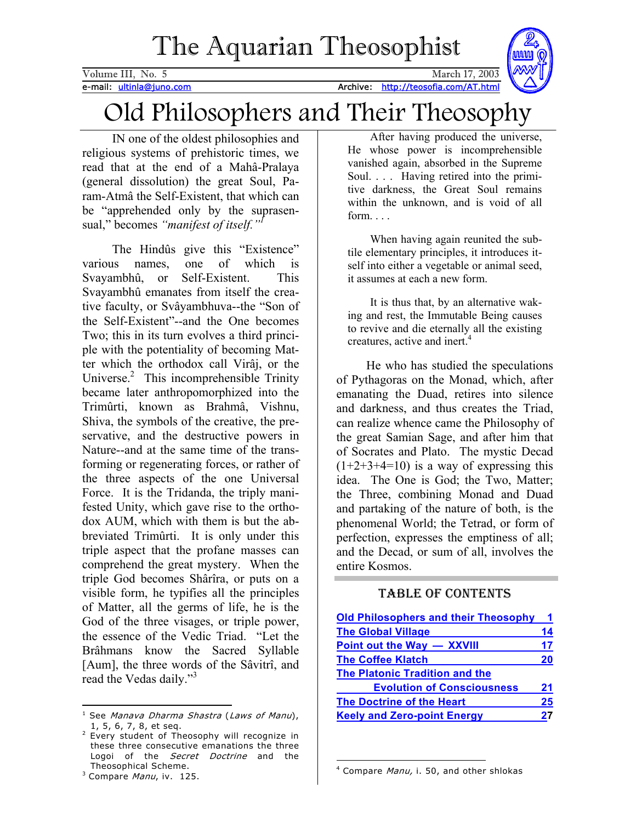# The Aquarian Theosophist

<span id="page-0-4"></span>Volume III, No. 5 March 17, 2003

e-mail: ultinla@juno.com Archive: http://teosofia.com/AT.html

# Old Philosophers and Their Theosophy

**74`** IN one of the oldest philosophies and religious systems of prehistoric times, we read that at the end of a Mahâ-Pralaya (general dissolution) the great Soul, Param-Atmâ the Self-Existent, that which can be "apprehended only by the suprasensual," becomes *"manifest of itself."[1](#page-0-0)*

The Hindûs give this "Existence" various names, one of which is Svayambhû, or Self-Existent. This Svayambhû emanates from itself the creative faculty, or Svâyambhuva--the "Son of the Self-Existent"--and the One becomes Two; this in its turn evolves a third principle with the potentiality of becoming Matter which the orthodox call Virâj, or the Universe.<sup>[2](#page-0-1)</sup> This incomprehensible Trinity became later anthropomorphized into the Trimûrti, known as Brahmâ, Vishnu, Shiva, the symbols of the creative, the preservative, and the destructive powers in Nature--and at the same time of the transforming or regenerating forces, or rather of the three aspects of the one Universal Force. It is the Tridanda, the triply manifested Unity, which gave rise to the orthodox AUM, which with them is but the abbreviated Trimûrti. It is only under this triple aspect that the profane masses can comprehend the great mystery. When the triple God becomes Shârîra, or puts on a visible form, he typifies all the principles of Matter, all the germs of life, he is the God of the three visages, or triple power, the essence of the Vedic Triad. "Let the Brâhmans know the Sacred Syllable [Aum], the three words of the Sâvitrî, and read the Vedas daily."<sup>[3](#page-0-2)</sup>

<span id="page-0-2"></span><sup>3</sup> Compare Manu, iv. 125.

After having produced the universe, He whose power is incomprehensible vanished again, absorbed in the Supreme Soul. . . . Having retired into the primitive darkness, the Great Soul remains within the unknown, and is void of all form. . . .

When having again reunited the subtile elementary principles, it introduces itself into either a vegetable or animal seed, it assumes at each a new form.

It is thus that, by an alternative waking and rest, the Immutable Being causes to revive and die eternally all the existing creatures, active and inert.<sup>[4](#page-0-3)</sup>

He who has studied the speculations of Pythagoras on the Monad, which, after emanating the Duad, retires into silence and darkness, and thus creates the Triad, can realize whence came the Philosophy of the great Samian Sage, and after him that of Socrates and Plato. The mystic Decad  $(1+2+3+4=10)$  is a way of expressing this idea. The One is God; the Two, Matter; the Three, combining Monad and Duad and partaking of the nature of both, is the phenomenal World; the Tetrad, or form of perfection, expresses the emptiness of all; and the Decad, or sum of all, involves the entire Kosmos.

#### <span id="page-0-3"></span>TABLE OF CONTENTS

| Old Philosophers and their Theosophy 1 |    |  |
|----------------------------------------|----|--|
| <b>The Global Village</b>              | 14 |  |
| Point out the Way - XXVIII             | 17 |  |
| <b>The Coffee Klatch</b>               | 20 |  |
| The Platonic Tradition and the         |    |  |
| <b>Evolution of Consciousness</b>      | 21 |  |
| <b>The Doctrine of the Heart</b>       | 25 |  |
| <b>Keely and Zero-point Energy</b>     | 27 |  |
|                                        |    |  |

The USS of the structure.<br> **A** Compare *Manu*, i. 50, and other shlokas **3** Compare *Manu*, i. 50, and other shlokas



<span id="page-0-0"></span><sup>1, 5, 6, 7, 8,</sup> et seq.

<span id="page-0-1"></span><sup>&</sup>lt;sup>2</sup> Every student of Theosophy will recognize in these three consecutive emanations the three Logoi of the *Secret Doctrine* and the Theosophical Scheme.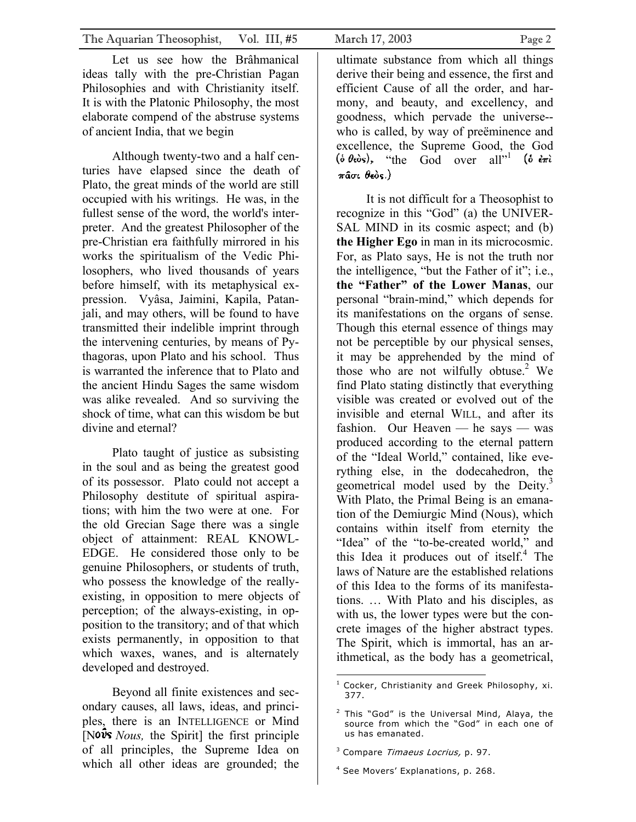Let us see how the Brâhmanical ideas tally with the pre-Christian Pagan Philosophies and with Christianity itself. It is with the Platonic Philosophy, the most elaborate compend of the abstruse systems of ancient India, that we begin

Although twenty-two and a half centuries have elapsed since the death of Plato, the great minds of the world are still occupied with his writings. He was, in the fullest sense of the word, the world's interpreter. And the greatest Philosopher of the pre-Christian era faithfully mirrored in his works the spiritualism of the Vedic Philosophers, who lived thousands of years before himself, with its metaphysical expression. Vyâsa, Jaimini, Kapila, Patanjali, and may others, will be found to have transmitted their indelible imprint through the intervening centuries, by means of Pythagoras, upon Plato and his school. Thus is warranted the inference that to Plato and the ancient Hindu Sages the same wisdom was alike revealed. And so surviving the shock of time, what can this wisdom be but divine and eternal?

Plato taught of justice as subsisting in the soul and as being the greatest good of its possessor. Plato could not accept a Philosophy destitute of spiritual aspirations; with him the two were at one. For the old Grecian Sage there was a single object of attainment: REAL KNOWL-EDGE. He considered those only to be genuine Philosophers, or students of truth, who possess the knowledge of the reallyexisting, in opposition to mere objects of perception; of the always-existing, in opposition to the transitory; and of that which exists permanently, in opposition to that which waxes, wanes, and is alternately developed and destroyed.

Beyond all finite existences and secondary causes, all laws, ideas, and principles, there is an INTELLIGENCE or Mind [ $N$  $\sigma$  $\dot{\bm{v}}$ s *Nous*, the Spirit] the first principle of all principles, the Supreme Idea on which all other ideas are grounded; the

ultimate substance from which all things derive their being and essence, the first and efficient Cause of all the order, and harmony, and beauty, and excellency, and goodness, which pervade the universe- who is called, by way of preëminence and excellence, the Supreme Good, the God ( $\delta \theta$ εός), "the God over all"<sup>1</sup> ( $\delta \epsilon \dot{\theta}$  $\pi$ âσι θεός.)

It is not difficult for a Theosophist to recognize in this "God" (a) the UNIVER-SAL MIND in its cosmic aspect; and (b) **the Higher Ego** in man in its microcosmic. For, as Plato says, He is not the truth nor the intelligence, "but the Father of it"; i.e., **the "Father" of the Lower Manas**, our personal "brain-mind," which depends for its manifestations on the organs of sense. Though this eternal essence of things may not be perceptible by our physical senses, it may be apprehended by the mind of those who are not wilfully obtuse.<sup>2</sup> We find Plato stating distinctly that everything visible was created or evolved out of the invisible and eternal WILL, and after its fashion. Our Heaven — he says — was produced according to the eternal pattern of the "Ideal World," contained, like everything else, in the dodecahedron, the geometrical model used by the Deity.<sup>[3](#page-1-2)</sup> With Plato, the Primal Being is an emanation of the Demiurgic Mind (Nous), which contains within itself from eternity the "Idea" of the "to-be-created world," and this Idea it produces out of itself. $4$  The laws of Nature are the established relations of this Idea to the forms of its manifestations. … With Plato and his disciples, as with us, the lower types were but the concrete images of the higher abstract types. The Spirit, which is immortal, has an arithmetical, as the body has a geometrical,

<span id="page-1-2"></span><sup>3</sup> Compare *Timaeus Locrius*, p. 97.

<span id="page-1-0"></span> 1 Cocker, Christianity and Greek Philosophy, xi. 377.

<span id="page-1-1"></span><sup>&</sup>lt;sup>2</sup> This "God" is the Universal Mind, Alaya, the source from which the "God" in each one of us has emanated.

<span id="page-1-3"></span><sup>4</sup> See Movers' Explanations, p. 268.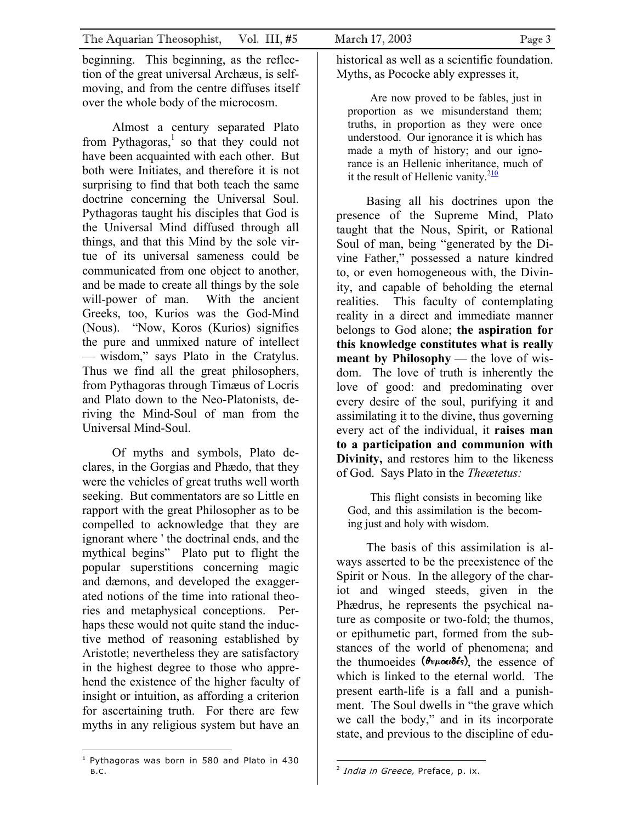beginning. This beginning, as the reflection of the great universal Archæus, is selfmoving, and from the centre diffuses itself over the whole body of the microcosm.

Almost a century separated Plato from Pythagoras, $\frac{1}{s}$  so that they could not have been acquainted with each other. But both were Initiates, and therefore it is not surprising to find that both teach the same doctrine concerning the Universal Soul. Pythagoras taught his disciples that God is the Universal Mind diffused through all things, and that this Mind by the sole virtue of its universal sameness could be communicated from one object to another, and be made to create all things by the sole will-power of man. With the ancient Greeks, too, Kurios was the God-Mind (Nous). "Now, Koros (Kurios) signifies the pure and unmixed nature of intellect — wisdom," says Plato in the Cratylus. Thus we find all the great philosophers, from Pythagoras through Timæus of Locris and Plato down to the Neo-Platonists, deriving the Mind-Soul of man from the Universal Mind-Soul.

Of myths and symbols, Plato declares, in the Gorgias and Phædo, that they were the vehicles of great truths well worth seeking. But commentators are so Little en rapport with the great Philosopher as to be compelled to acknowledge that they are ignorant where ' the doctrinal ends, and the mythical begins" Plato put to flight the popular superstitions concerning magic and dæmons, and developed the exaggerated notions of the time into rational theories and metaphysical conceptions. Perhaps these would not quite stand the inductive method of reasoning established by Aristotle; nevertheless they are satisfactory in the highest degree to those who apprehend the existence of the higher faculty of insight or intuition, as affording a criterion for ascertaining truth. For there are few myths in any religious system but have an

<span id="page-2-0"></span> 1 Pythagoras was born in 580 and Plato in 430 B.C.

historical as well as a scientific foundation. Myths, as Pococke ably expresses it,

Are now proved to be fables, just in proportion as we misunderstand them; truths, in proportion as they were once understood. Our ignorance it is which has made a myth of history; and our ignorance is an Hellenic inheritance, much of it the result of Hellenic vanity. $\frac{210}{ }$ 

Basing all his doctrines upon the presence of the Supreme Mind, Plato taught that the Nous, Spirit, or Rational Soul of man, being "generated by the Divine Father," possessed a nature kindred to, or even homogeneous with, the Divinity, and capable of beholding the eternal realities. This faculty of contemplating reality in a direct and immediate manner belongs to God alone; **the aspiration for this knowledge constitutes what is really meant by Philosophy** — the love of wisdom. The love of truth is inherently the love of good: and predominating over every desire of the soul, purifying it and assimilating it to the divine, thus governing every act of the individual, it **raises man to a participation and communion with Divinity,** and restores him to the likeness of God. Says Plato in the *Theætetus:*

This flight consists in becoming like God, and this assimilation is the becoming just and holy with wisdom.

The basis of this assimilation is always asserted to be the preexistence of the Spirit or Nous. In the allegory of the chariot and winged steeds, given in the Phædrus, he represents the psychical nature as composite or two-fold; the thumos, or epithumetic part, formed from the substances of the world of phenomena; and the thumoeides ( $\theta$ <sub>*v*</sub> $\theta$ <sup>o</sup> $\theta$ <sub>*s*</sub> $\theta$ </sub> $\theta$ <sub>*s*</sub> $\theta$ <sub>*s*</sub> $\theta$ <sub>*s*</sub> $\theta$ <sub>*s*</sub> $\theta$ <sub>*f*</sub> $\theta$ </sub> $\theta$ <sub>*s*</sub> $\theta$ <sup>*f*</sup> $\theta$ </sup>*s* $\theta$ *f* $\theta$ which is linked to the eternal world. The present earth-life is a fall and a punishment. The Soul dwells in "the grave which we call the body," and in its incorporate state, and previous to the discipline of edu-

<span id="page-2-1"></span><sup>&</sup>lt;sup>2</sup> India in Greece, Preface, p. ix.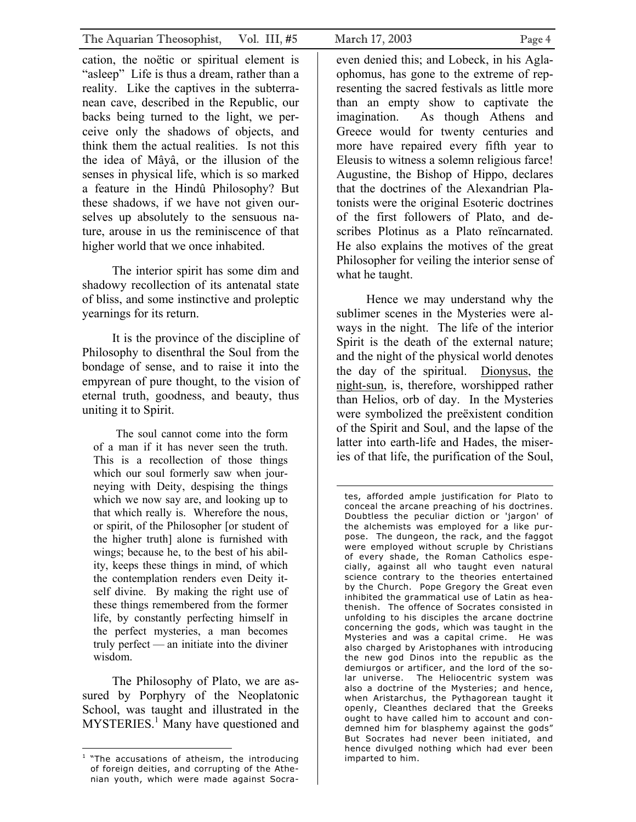cation, the noëtic or spiritual element is "asleep" Life is thus a dream, rather than a reality. Like the captives in the subterranean cave, described in the Republic, our backs being turned to the light, we perceive only the shadows of objects, and think them the actual realities. Is not this the idea of Mâyâ, or the illusion of the senses in physical life, which is so marked a feature in the Hindû Philosophy? But these shadows, if we have not given ourselves up absolutely to the sensuous nature, arouse in us the reminiscence of that higher world that we once inhabited.

The interior spirit has some dim and shadowy recollection of its antenatal state of bliss, and some instinctive and proleptic yearnings for its return.

It is the province of the discipline of Philosophy to disenthral the Soul from the bondage of sense, and to raise it into the empyrean of pure thought, to the vision of eternal truth, goodness, and beauty, thus uniting it to Spirit.

The soul cannot come into the form of a man if it has never seen the truth. This is a recollection of those things which our soul formerly saw when journeying with Deity, despising the things which we now say are, and looking up to that which really is. Wherefore the nous, or spirit, of the Philosopher [or student of the higher truth] alone is furnished with wings; because he, to the best of his ability, keeps these things in mind, of which the contemplation renders even Deity itself divine. By making the right use of these things remembered from the former life, by constantly perfecting himself in the perfect mysteries, a man becomes truly perfect — an initiate into the diviner wisdom.

The Philosophy of Plato, we are assured by Porphyry of the Neoplatonic School, was taught and illustrated in the MYSTERIES.<sup>[1](#page-3-0)</sup> Many have questioned and even denied this; and Lobeck, in his Aglaophomus, has gone to the extreme of representing the sacred festivals as little more than an empty show to captivate the imagination. As though Athens and Greece would for twenty centuries and more have repaired every fifth year to Eleusis to witness a solemn religious farce! Augustine, the Bishop of Hippo, declares that the doctrines of the Alexandrian Platonists were the original Esoteric doctrines of the first followers of Plato, and describes Plotinus as a Plato reïncarnated. He also explains the motives of the great Philosopher for veiling the interior sense of what he taught.

Hence we may understand why the sublimer scenes in the Mysteries were always in the night. The life of the interior Spirit is the death of the external nature; and the night of the physical world denotes the day of the spiritual. Dionysus, the night-sun, is, therefore, worshipped rather than Helios, orb of day. In the Mysteries were symbolized the preëxistent condition of the Spirit and Soul, and the lapse of the latter into earth-life and Hades, the miseries of that life, the purification of the Soul,

<span id="page-3-0"></span> 1 "The accusations of atheism, the introducing of foreign deities, and corrupting of the Athenian youth, which were made against Socra-

tes, afforded ample justification for Plato to conceal the arcane preaching of his doctrines. Doubtless the peculiar diction or 'jargon' of the alchemists was employed for a like purpose. The dungeon, the rack, and the faggot were employed without scruple by Christians of every shade, the Roman Catholics especially, against all who taught even natural science contrary to the theories entertained by the Church. Pope Gregory the Great even inhibited the grammatical use of Latin as heathenish. The offence of Socrates consisted in unfolding to his disciples the arcane doctrine concerning the gods, which was taught in the Mysteries and was a capital crime. He was also charged by Aristophanes with introducing the new god Dinos into the republic as the demiurgos or artificer, and the lord of the solar universe. The Heliocentric system was also a doctrine of the Mysteries; and hence, when Aristarchus, the Pythagorean taught it openly, Cleanthes declared that the Greeks ought to have called him to account and condemned him for blasphemy against the gods" But Socrates had never been initiated, and hence divulged nothing which had ever been imparted to him.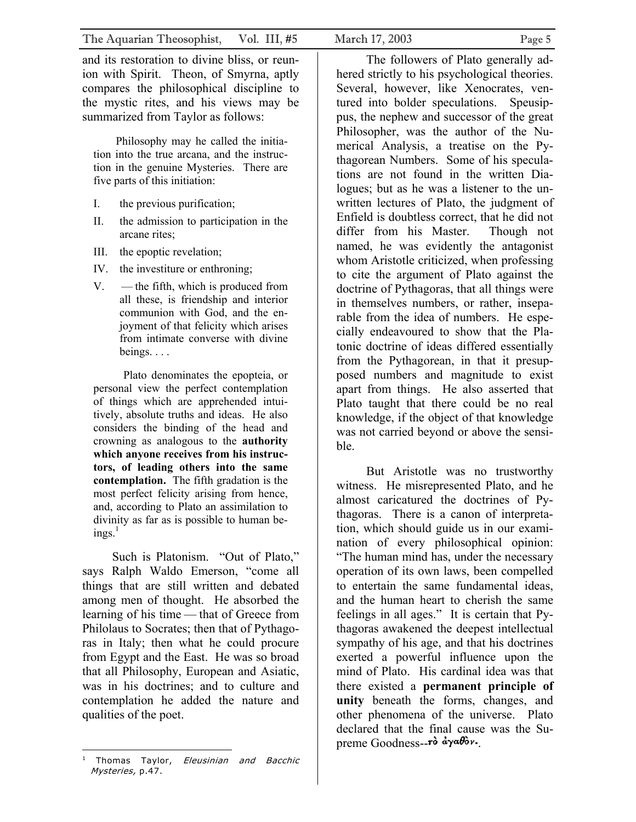and its restoration to divine bliss, or reunion with Spirit. Theon, of Smyrna, aptly compares the philosophical discipline to the mystic rites, and his views may be summarized from Taylor as follows:

Philosophy may he called the initiation into the true arcana, and the instruction in the genuine Mysteries. There are five parts of this initiation:

- I. the previous purification;
- II. the admission to participation in the arcane rites;
- III. the epoptic revelation;
- IV. the investiture or enthroning;
- V. the fifth, which is produced from all these, is friendship and interior communion with God, and the enjoyment of that felicity which arises from intimate converse with divine beings. . . .

Plato denominates the epopteia, or personal view the perfect contemplation of things which are apprehended intuitively, absolute truths and ideas. He also considers the binding of the head and crowning as analogous to the **authority which anyone receives from his instructors, of leading others into the same contemplation.** The fifth gradation is the most perfect felicity arising from hence, and, according to Plato an assimilation to divinity as far as is possible to human be $ins<sup>1</sup>$ 

Such is Platonism. "Out of Plato," says Ralph Waldo Emerson, "come all things that are still written and debated among men of thought. He absorbed the learning of his time — that of Greece from Philolaus to Socrates; then that of Pythagoras in Italy; then what he could procure from Egypt and the East. He was so broad that all Philosophy, European and Asiatic, was in his doctrines; and to culture and contemplation he added the nature and qualities of the poet.

The followers of Plato generally adhered strictly to his psychological theories. Several, however, like Xenocrates, ventured into bolder speculations. Speusippus, the nephew and successor of the great Philosopher, was the author of the Numerical Analysis, a treatise on the Pythagorean Numbers. Some of his speculations are not found in the written Dialogues; but as he was a listener to the unwritten lectures of Plato, the judgment of Enfield is doubtless correct, that he did not differ from his Master. Though not named, he was evidently the antagonist whom Aristotle criticized, when professing to cite the argument of Plato against the doctrine of Pythagoras, that all things were in themselves numbers, or rather, inseparable from the idea of numbers. He especially endeavoured to show that the Platonic doctrine of ideas differed essentially from the Pythagorean, in that it presupposed numbers and magnitude to exist apart from things. He also asserted that Plato taught that there could be no real knowledge, if the object of that knowledge was not carried beyond or above the sensible.

But Aristotle was no trustworthy witness. He misrepresented Plato, and he almost caricatured the doctrines of Pythagoras. There is a canon of interpretation, which should guide us in our examination of every philosophical opinion: "The human mind has, under the necessary operation of its own laws, been compelled to entertain the same fundamental ideas, and the human heart to cherish the same feelings in all ages." It is certain that Pythagoras awakened the deepest intellectual sympathy of his age, and that his doctrines exerted a powerful influence upon the mind of Plato. His cardinal idea was that there existed a **permanent principle of unity** beneath the forms, changes, and other phenomena of the universe. Plato declared that the final cause was the Supreme Goodness--rò ayabov.

<span id="page-4-0"></span> 1 Thomas Taylor, Eleusinian and Bacchic Mysteries, p.47.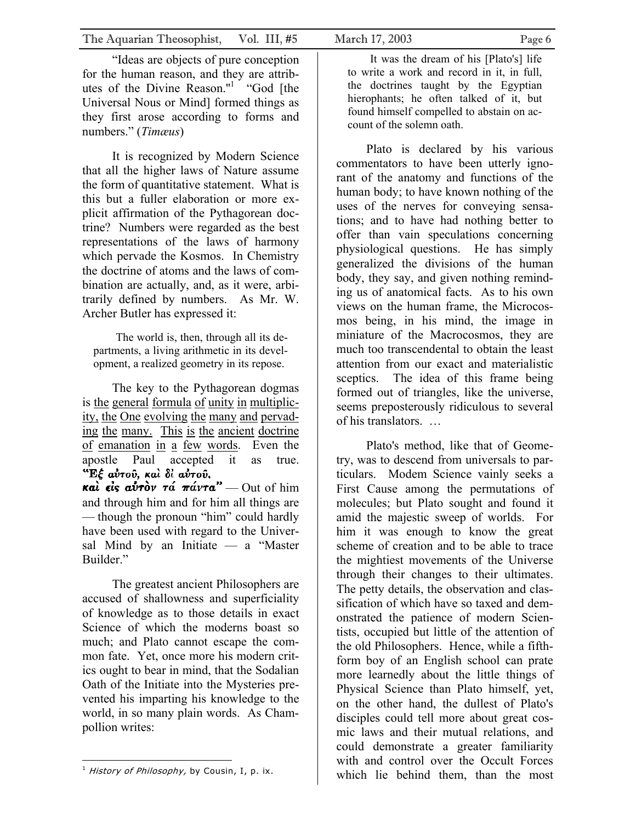"Ideas are objects of pure conception for the human reason, and they are attrib-utes of the Divine Reason."<sup>[1](#page-5-0)</sup> "God [the Universal Nous or Mind] formed things as they first arose according to forms and numbers." (*Timæus*)

It is recognized by Modern Science that all the higher laws of Nature assume the form of quantitative statement. What is this but a fuller elaboration or more explicit affirmation of the Pythagorean doctrine? Numbers were regarded as the best representations of the laws of harmony which pervade the Kosmos. In Chemistry the doctrine of atoms and the laws of combination are actually, and, as it were, arbitrarily defined by numbers. As Mr. W. Archer Butler has expressed it:

The world is, then, through all its departments, a living arithmetic in its development, a realized geometry in its repose.

The key to the Pythagorean dogmas is the general formula of unity in multiplicity, the One evolving the many and pervading the many. This is the ancient doctrine of emanation in a few words. Even the apostle Paul accepted it as true. "Eg avrov, kai di avrov.

και είς αυτόν τά πάντα" — Out of him and through him and for him all things are — though the pronoun "him" could hardly have been used with regard to the Universal Mind by an Initiate — a "Master Builder."

The greatest ancient Philosophers are accused of shallowness and superficiality of knowledge as to those details in exact Science of which the moderns boast so much; and Plato cannot escape the common fate. Yet, once more his modern critics ought to bear in mind, that the Sodalian Oath of the Initiate into the Mysteries prevented his imparting his knowledge to the world, in so many plain words. As Champollion writes:

Plato is declared by his various commentators to have been utterly ignorant of the anatomy and functions of the human body; to have known nothing of the uses of the nerves for conveying sensations; and to have had nothing better to offer than vain speculations concerning physiological questions. He has simply generalized the divisions of the human body, they say, and given nothing reminding us of anatomical facts. As to his own views on the human frame, the Microcosmos being, in his mind, the image in miniature of the Macrocosmos, they are much too transcendental to obtain the least attention from our exact and materialistic sceptics. The idea of this frame being formed out of triangles, like the universe, seems preposterously ridiculous to several of his translators. …

Plato's method, like that of Geometry, was to descend from universals to particulars. Modem Science vainly seeks a First Cause among the permutations of molecules; but Plato sought and found it amid the majestic sweep of worlds. For him it was enough to know the great scheme of creation and to be able to trace the mightiest movements of the Universe through their changes to their ultimates. The petty details, the observation and classification of which have so taxed and demonstrated the patience of modern Scientists, occupied but little of the attention of the old Philosophers. Hence, while a fifthform boy of an English school can prate more learnedly about the little things of Physical Science than Plato himself, yet, on the other hand, the dullest of Plato's disciples could tell more about great cosmic laws and their mutual relations, and could demonstrate a greater familiarity with and control over the Occult Forces which lie behind them, than the most

It was the dream of his [Plato's] life to write a work and record in it, in full, the doctrines taught by the Egyptian hierophants; he often talked of it, but found himself compelled to abstain on account of the solemn oath.

<span id="page-5-0"></span>  $^1$  *History of Philosophy,* by Cousin, I, p. ix.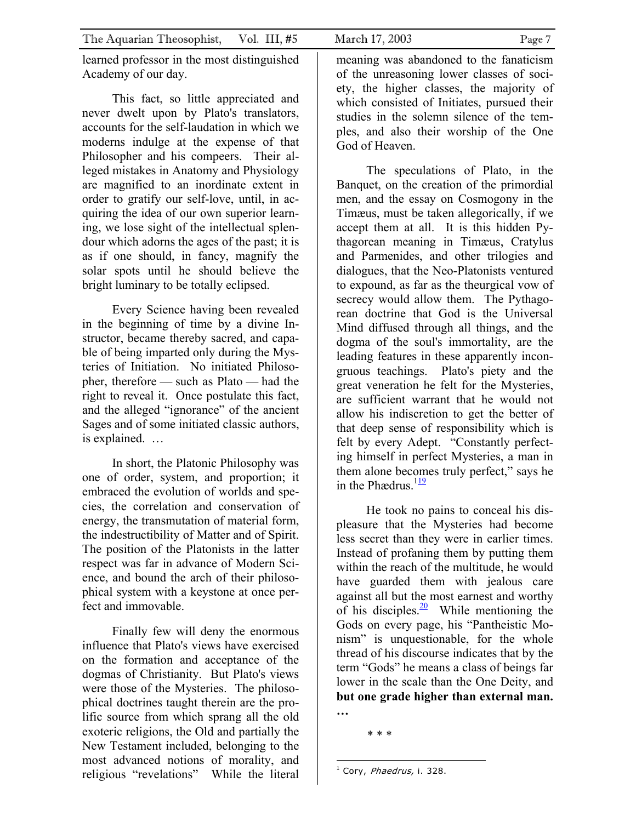learned professor in the most distinguished Academy of our day.

This fact, so little appreciated and never dwelt upon by Plato's translators, accounts for the self-laudation in which we moderns indulge at the expense of that Philosopher and his compeers. Their alleged mistakes in Anatomy and Physiology are magnified to an inordinate extent in order to gratify our self-love, until, in acquiring the idea of our own superior learning, we lose sight of the intellectual splendour which adorns the ages of the past; it is as if one should, in fancy, magnify the solar spots until he should believe the bright luminary to be totally eclipsed.

Every Science having been revealed in the beginning of time by a divine Instructor, became thereby sacred, and capable of being imparted only during the Mysteries of Initiation. No initiated Philosopher, therefore — such as Plato — had the right to reveal it. Once postulate this fact, and the alleged "ignorance" of the ancient Sages and of some initiated classic authors, is explained. …

In short, the Platonic Philosophy was one of order, system, and proportion; it embraced the evolution of worlds and species, the correlation and conservation of energy, the transmutation of material form, the indestructibility of Matter and of Spirit. The position of the Platonists in the latter respect was far in advance of Modern Science, and bound the arch of their philosophical system with a keystone at once perfect and immovable.

Finally few will deny the enormous influence that Plato's views have exercised on the formation and acceptance of the dogmas of Christianity. But Plato's views were those of the Mysteries. The philosophical doctrines taught therein are the prolific source from which sprang all the old exoteric religions, the Old and partially the New Testament included, belonging to the most advanced notions of morality, and religious "revelations" While the literal

meaning was abandoned to the fanaticism of the unreasoning lower classes of society, the higher classes, the majority of which consisted of Initiates, pursued their studies in the solemn silence of the temples, and also their worship of the One God of Heaven.

The speculations of Plato, in the Banquet, on the creation of the primordial men, and the essay on Cosmogony in the Timæus, must be taken allegorically, if we accept them at all. It is this hidden Pythagorean meaning in Timæus, Cratylus and Parmenides, and other trilogies and dialogues, that the Neo-Platonists ventured to expound, as far as the theurgical vow of secrecy would allow them. The Pythagorean doctrine that God is the Universal Mind diffused through all things, and the dogma of the soul's immortality, are the leading features in these apparently incongruous teachings. Plato's piety and the great veneration he felt for the Mysteries, are sufficient warrant that he would not allow his indiscretion to get the better of that deep sense of responsibility which is felt by every Adept. "Constantly perfecting himself in perfect Mysteries, a man in them alone becomes truly perfect," says he in the Phædrus. $\frac{119}{1}$  $\frac{119}{1}$  $\frac{119}{1}$  $\frac{119}{1}$ 

He took no pains to conceal his displeasure that the Mysteries had become less secret than they were in earlier times. Instead of profaning them by putting them within the reach of the multitude, he would have guarded them with jealous care against all but the most earnest and worthy of his disciples. $\frac{20}{20}$  While mentioning the Gods on every page, his "Pantheistic Monism" is unquestionable, for the whole thread of his discourse indicates that by the term "Gods" he means a class of beings far lower in the scale than the One Deity, and **but one grade higher than external man.** 

**<sup>…</sup>** 

*<sup>\* \* \*</sup>* 

<span id="page-6-0"></span><sup>&</sup>lt;sup>1</sup> Cory, *Phaedrus,* i. 328.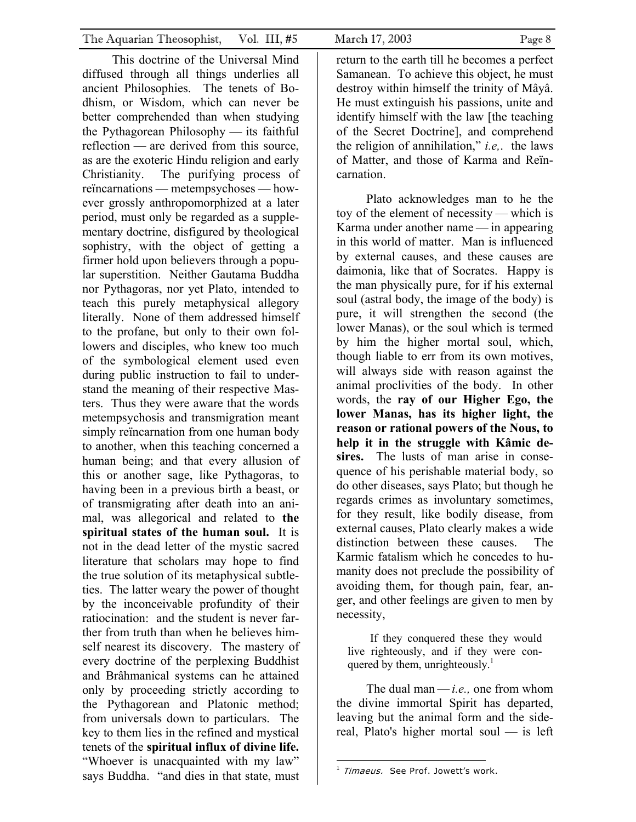This doctrine of the Universal Mind diffused through all things underlies all ancient Philosophies. The tenets of Bodhism, or Wisdom, which can never be better comprehended than when studying the Pythagorean Philosophy — its faithful reflection — are derived from this source, as are the exoteric Hindu religion and early Christianity. The purifying process of reïncarnations — metempsychoses — however grossly anthropomorphized at a later period, must only be regarded as a supplementary doctrine, disfigured by theological sophistry, with the object of getting a firmer hold upon believers through a popular superstition. Neither Gautama Buddha nor Pythagoras, nor yet Plato, intended to teach this purely metaphysical allegory literally. None of them addressed himself to the profane, but only to their own followers and disciples, who knew too much of the symbological element used even during public instruction to fail to understand the meaning of their respective Masters. Thus they were aware that the words metempsychosis and transmigration meant simply reïncarnation from one human body to another, when this teaching concerned a human being; and that every allusion of this or another sage, like Pythagoras, to having been in a previous birth a beast, or of transmigrating after death into an animal, was allegorical and related to **the spiritual states of the human soul.** It is not in the dead letter of the mystic sacred literature that scholars may hope to find the true solution of its metaphysical subtleties. The latter weary the power of thought by the inconceivable profundity of their ratiocination: and the student is never farther from truth than when he believes himself nearest its discovery. The mastery of every doctrine of the perplexing Buddhist and Brâhmanical systems can he attained only by proceeding strictly according to the Pythagorean and Platonic method; from universals down to particulars. The key to them lies in the refined and mystical tenets of the **spiritual influx of divine life.** "Whoever is unacquainted with my law" says Buddha. "and dies in that state, must

return to the earth till he becomes a perfect Samanean. To achieve this object, he must destroy within himself the trinity of Mâyâ. He must extinguish his passions, unite and identify himself with the law [the teaching of the Secret Doctrine], and comprehend the religion of annihilation," *i.e,*. the laws of Matter, and those of Karma and Reïncarnation.

Plato acknowledges man to he the toy of the element of necessity — which is Karma under another name — in appearing in this world of matter. Man is influenced by external causes, and these causes are daimonia, like that of Socrates. Happy is the man physically pure, for if his external soul (astral body, the image of the body) is pure, it will strengthen the second (the lower Manas), or the soul which is termed by him the higher mortal soul, which, though liable to err from its own motives, will always side with reason against the animal proclivities of the body. In other words, the **ray of our Higher Ego, the lower Manas, has its higher light, the reason or rational powers of the Nous, to help it in the struggle with Kâmic desires.** The lusts of man arise in consequence of his perishable material body, so do other diseases, says Plato; but though he regards crimes as involuntary sometimes, for they result, like bodily disease, from external causes, Plato clearly makes a wide distinction between these causes. The Karmic fatalism which he concedes to humanity does not preclude the possibility of avoiding them, for though pain, fear, anger, and other feelings are given to men by necessity,

If they conquered these they would live righteously, and if they were con-quered by them, unrighteously.<sup>[1](#page-7-0)</sup>

The dual man — *i.e.*, one from whom the divine immortal Spirit has departed, leaving but the animal form and the sidereal, Plato's higher mortal soul — is left

<span id="page-7-0"></span> <sup>1</sup> Timaeus. See Prof. Jowett's work.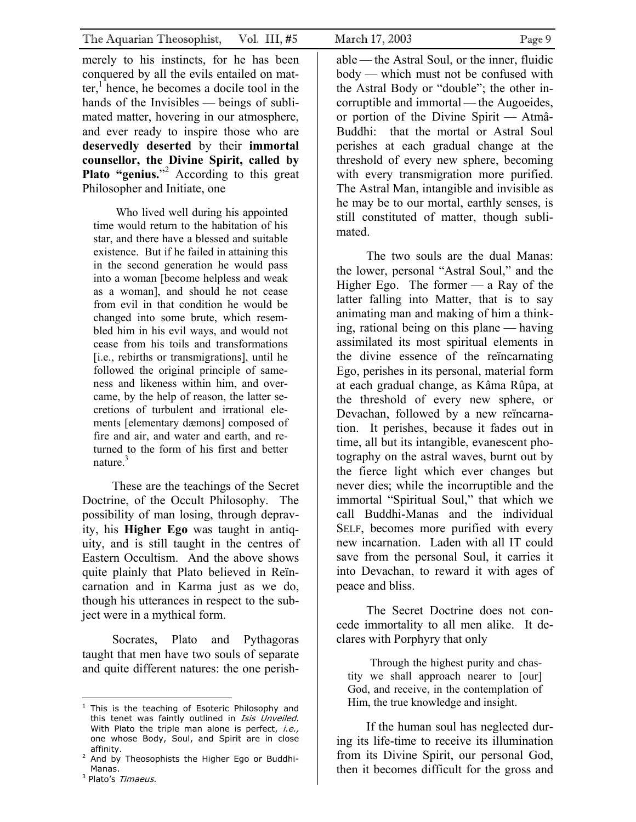merely to his instincts, for he has been conquered by all the evils entailed on matter, $\frac{1}{1}$  $\frac{1}{1}$  $\frac{1}{1}$  hence, he becomes a docile tool in the hands of the Invisibles — beings of sublimated matter, hovering in our atmosphere, and ever ready to inspire those who are **deservedly deserted** by their **immortal counsellor, the Divine Spirit, called by**  Plato "genius."<sup>[2](#page-8-1)</sup> According to this great Philosopher and Initiate, one

Who lived well during his appointed time would return to the habitation of his star, and there have a blessed and suitable existence. But if he failed in attaining this in the second generation he would pass into a woman [become helpless and weak as a woman], and should he not cease from evil in that condition he would be changed into some brute, which resembled him in his evil ways, and would not cease from his toils and transformations [i.e., rebirths or transmigrations], until he followed the original principle of sameness and likeness within him, and overcame, by the help of reason, the latter secretions of turbulent and irrational elements [elementary dæmons] composed of fire and air, and water and earth, and returned to the form of his first and better nature.<sup>[3](#page-8-2)</sup>

These are the teachings of the Secret Doctrine, of the Occult Philosophy. The possibility of man losing, through depravity, his **Higher Ego** was taught in antiquity, and is still taught in the centres of Eastern Occultism. And the above shows quite plainly that Plato believed in Reïncarnation and in Karma just as we do, though his utterances in respect to the subject were in a mythical form.

Socrates, Plato and Pythagoras taught that men have two souls of separate and quite different natures: the one perish-

able — the Astral Soul, or the inner, fluidic body — which must not be confused with the Astral Body or "double"; the other incorruptible and immortal — the Augoeides, or portion of the Divine Spirit — Atmâ-Buddhi: that the mortal or Astral Soul perishes at each gradual change at the threshold of every new sphere, becoming with every transmigration more purified. The Astral Man, intangible and invisible as he may be to our mortal, earthly senses, is still constituted of matter, though sublimated.

The two souls are the dual Manas: the lower, personal "Astral Soul," and the Higher Ego. The former  $-$  a Ray of the latter falling into Matter, that is to say animating man and making of him a thinking, rational being on this plane — having assimilated its most spiritual elements in the divine essence of the reïncarnating Ego, perishes in its personal, material form at each gradual change, as Kâma Rûpa, at the threshold of every new sphere, or Devachan, followed by a new reïncarnation. It perishes, because it fades out in time, all but its intangible, evanescent photography on the astral waves, burnt out by the fierce light which ever changes but never dies; while the incorruptible and the immortal "Spiritual Soul," that which we call Buddhi-Manas and the individual SELF, becomes more purified with every new incarnation. Laden with all IT could save from the personal Soul, it carries it into Devachan, to reward it with ages of peace and bliss.

The Secret Doctrine does not concede immortality to all men alike. It declares with Porphyry that only

Through the highest purity and chastity we shall approach nearer to [our] God, and receive, in the contemplation of Him, the true knowledge and insight.

If the human soul has neglected during its life-time to receive its illumination from its Divine Spirit, our personal God, then it becomes difficult for the gross and

<span id="page-8-0"></span> 1 This is the teaching of Esoteric Philosophy and this tenet was faintly outlined in Isis Unveiled. With Plato the triple man alone is perfect, *i.e.*, one whose Body, Soul, and Spirit are in close

<span id="page-8-1"></span>affinity.<br><sup>2</sup> And by Theosophists the Higher Ego or Buddhi-Manas.<br><sup>3</sup> Plato's *Timaeus.* 

<span id="page-8-2"></span>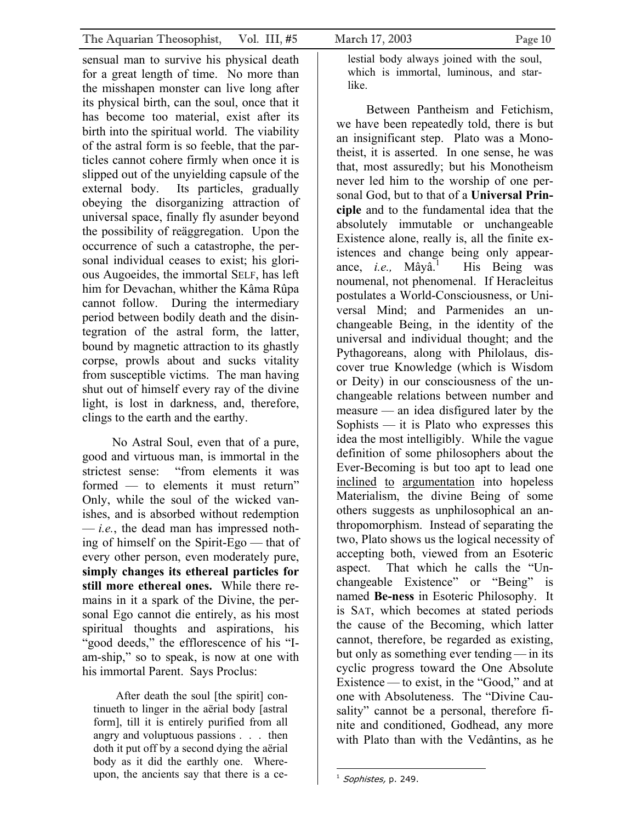sensual man to survive his physical death for a great length of time. No more than the misshapen monster can live long after its physical birth, can the soul, once that it has become too material, exist after its birth into the spiritual world. The viability of the astral form is so feeble, that the particles cannot cohere firmly when once it is slipped out of the unyielding capsule of the external body. Its particles, gradually obeying the disorganizing attraction of universal space, finally fly asunder beyond the possibility of reäggregation. Upon the occurrence of such a catastrophe, the personal individual ceases to exist; his glorious Augoeides, the immortal SELF, has left him for Devachan, whither the Kâma Rûpa cannot follow. During the intermediary period between bodily death and the disintegration of the astral form, the latter, bound by magnetic attraction to its ghastly corpse, prowls about and sucks vitality from susceptible victims. The man having shut out of himself every ray of the divine light, is lost in darkness, and, therefore, clings to the earth and the earthy.

No Astral Soul, even that of a pure, good and virtuous man, is immortal in the strictest sense: "from elements it was formed — to elements it must return" Only, while the soul of the wicked vanishes, and is absorbed without redemption — *i.e.*, the dead man has impressed nothing of himself on the Spirit-Ego — that of every other person, even moderately pure, **simply changes its ethereal particles for still more ethereal ones.** While there remains in it a spark of the Divine, the personal Ego cannot die entirely, as his most spiritual thoughts and aspirations, his "good deeds," the efflorescence of his "Iam-ship," so to speak, is now at one with his immortal Parent. Says Proclus:

After death the soul [the spirit] continueth to linger in the aërial body [astral form], till it is entirely purified from all angry and voluptuous passions . . . then doth it put off by a second dying the aërial body as it did the earthly one. Whereupon, the ancients say that there is a celestial body always joined with the soul, which is immortal, luminous, and starlike.

Between Pantheism and Fetichism, we have been repeatedly told, there is but an insignificant step. Plato was a Monotheist, it is asserted. In one sense, he was that, most assuredly; but his Monotheism never led him to the worship of one personal God, but to that of a **Universal Principle** and to the fundamental idea that the absolutely immutable or unchangeable Existence alone, really is, all the finite existences and change being only appearance, *i.e.*,  $M \hat{a} \gamma \hat{a}$ . His Being was noumenal, not phenomenal. If Heracleitus postulates a World-Consciousness, or Universal Mind; and Parmenides an unchangeable Being, in the identity of the universal and individual thought; and the Pythagoreans, along with Philolaus, discover true Knowledge (which is Wisdom or Deity) in our consciousness of the unchangeable relations between number and measure — an idea disfigured later by the Sophists — it is Plato who expresses this idea the most intelligibly. While the vague definition of some philosophers about the Ever-Becoming is but too apt to lead one inclined to argumentation into hopeless Materialism, the divine Being of some others suggests as unphilosophical an anthropomorphism. Instead of separating the two, Plato shows us the logical necessity of accepting both, viewed from an Esoteric aspect. That which he calls the "Unchangeable Existence" or "Being" is named **Be-ness** in Esoteric Philosophy. It is SAT, which becomes at stated periods the cause of the Becoming, which latter cannot, therefore, be regarded as existing, but only as something ever tending — in its cyclic progress toward the One Absolute Existence — to exist, in the "Good," and at one with Absoluteness. The "Divine Causality" cannot be a personal, therefore finite and conditioned, Godhead, any more with Plato than with the Vedântins, as he

<span id="page-9-0"></span>l  $<sup>1</sup>$  Sophistes, p. 249.</sup>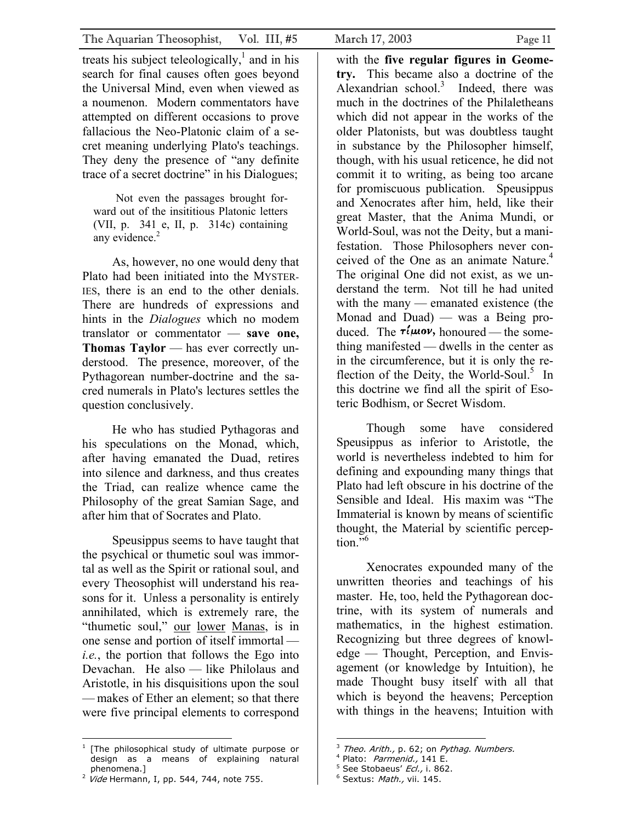treats his subject teleologically,<sup>1</sup> and in his search for final causes often goes beyond the Universal Mind, even when viewed as a noumenon. Modern commentators have attempted on different occasions to prove fallacious the Neo-Platonic claim of a secret meaning underlying Plato's teachings. They deny the presence of "any definite trace of a secret doctrine" in his Dialogues;

Not even the passages brought forward out of the insititious Platonic letters (VII, p. 341 e, II, p. 314c) containing any evidence. $2$ 

As, however, no one would deny that Plato had been initiated into the MYSTER-IES, there is an end to the other denials. There are hundreds of expressions and hints in the *Dialogues* which no modem translator or commentator — **save one, Thomas Taylor** — has ever correctly understood. The presence, moreover, of the Pythagorean number-doctrine and the sacred numerals in Plato's lectures settles the question conclusively.

He who has studied Pythagoras and his speculations on the Monad, which, after having emanated the Duad, retires into silence and darkness, and thus creates the Triad, can realize whence came the Philosophy of the great Samian Sage, and after him that of Socrates and Plato.

Speusippus seems to have taught that the psychical or thumetic soul was immortal as well as the Spirit or rational soul, and every Theosophist will understand his reasons for it. Unless a personality is entirely annihilated, which is extremely rare, the "thumetic soul," our lower Manas, is in one sense and portion of itself immortal *i.e.*, the portion that follows the Ego into Devachan. He also — like Philolaus and Aristotle, in his disquisitions upon the soul — makes of Ether an element; so that there were five principal elements to correspond

with the **five regular figures in Geometry.** This became also a doctrine of the Alexandrian school.<sup>3</sup> Indeed, there was much in the doctrines of the Philaletheans which did not appear in the works of the older Platonists, but was doubtless taught in substance by the Philosopher himself, though, with his usual reticence, he did not commit it to writing, as being too arcane for promiscuous publication. Speusippus and Xenocrates after him, held, like their great Master, that the Anima Mundi, or World-Soul, was not the Deity, but a manifestation. Those Philosophers never con-ceived of the One as an animate Nature.<sup>[4](#page-10-3)</sup> The original One did not exist, as we understand the term. Not till he had united with the many — emanated existence (the Monad and Duad) — was a Being produced. The  $\tau \ell \mu \omega \nu$ , honoured — the something manifested — dwells in the center as in the circumference, but it is only the reflection of the Deity, the World-Soul. $5$  In this doctrine we find all the spirit of Esoteric Bodhism, or Secret Wisdom.

Though some have considered Speusippus as inferior to Aristotle, the world is nevertheless indebted to him for defining and expounding many things that Plato had left obscure in his doctrine of the Sensible and Ideal. His maxim was "The Immaterial is known by means of scientific thought, the Material by scientific perception."<sup>6</sup>

Xenocrates expounded many of the unwritten theories and teachings of his master. He, too, held the Pythagorean doctrine, with its system of numerals and mathematics, in the highest estimation. Recognizing but three degrees of knowledge — Thought, Perception, and Envisagement (or knowledge by Intuition), he made Thought busy itself with all that which is beyond the heavens; Perception with things in the heavens; Intuition with

<span id="page-10-0"></span> $\overline{a}$ 1 [The philosophical study of ultimate purpose or design as a means of explaining natural phenomena.]

<span id="page-10-1"></span> $\frac{2}{3}$  Vide Hermann, I, pp. 544, 744, note 755.

<span id="page-10-2"></span><sup>&</sup>lt;sup>3</sup> Theo. Arith., p. 62; on Pythag. Numbers.

<span id="page-10-3"></span><sup>&</sup>lt;sup>4</sup> Plato: *Parmenid.*, 141 E.

<span id="page-10-4"></span><sup>&</sup>lt;sup>5</sup> See Stobaeus' Ecl., i. 862.

<span id="page-10-5"></span><sup>&</sup>lt;sup>6</sup> Sextus: *Mat*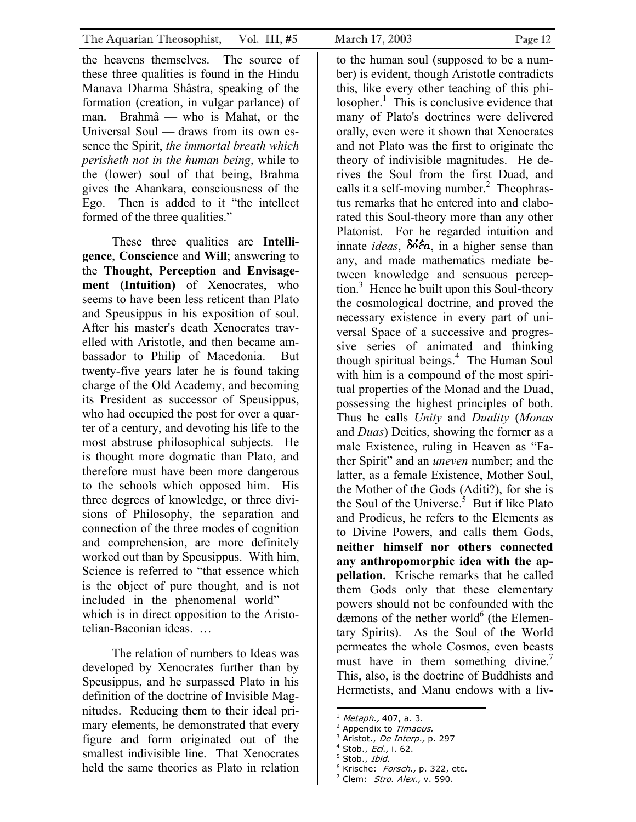the heavens themselves. The source of these three qualities is found in the Hindu Manava Dharma Shâstra, speaking of the formation (creation, in vulgar parlance) of man. Brahmâ — who is Mahat, or the Universal Soul — draws from its own essence the Spirit, *the immortal breath which perisheth not in the human being*, while to the (lower) soul of that being, Brahma gives the Ahankara, consciousness of the Ego. Then is added to it "the intellect formed of the three qualities."

These three qualities are **Intelligence**, **Conscience** and **Will**; answering to the **Thought**, **Perception** and **Envisagement (Intuition)** of Xenocrates, who seems to have been less reticent than Plato and Speusippus in his exposition of soul. After his master's death Xenocrates travelled with Aristotle, and then became ambassador to Philip of Macedonia. But twenty-five years later he is found taking charge of the Old Academy, and becoming its President as successor of Speusippus, who had occupied the post for over a quarter of a century, and devoting his life to the most abstruse philosophical subjects. He is thought more dogmatic than Plato, and therefore must have been more dangerous to the schools which opposed him. His three degrees of knowledge, or three divisions of Philosophy, the separation and connection of the three modes of cognition and comprehension, are more definitely worked out than by Speusippus. With him, Science is referred to "that essence which is the object of pure thought, and is not included in the phenomenal world" which is in direct opposition to the Aristotelian-Baconian ideas. …

The relation of numbers to Ideas was developed by Xenocrates further than by Speusippus, and he surpassed Plato in his definition of the doctrine of Invisible Magnitudes. Reducing them to their ideal primary elements, he demonstrated that every figure and form originated out of the smallest indivisible line. That Xenocrates held the same theories as Plato in relation

to the human soul (supposed to be a number) is evident, though Aristotle contradicts this, like every other teaching of this phi-losopher.<sup>[1](#page-11-0)</sup> This is conclusive evidence that many of Plato's doctrines were delivered orally, even were it shown that Xenocrates and not Plato was the first to originate the theory of indivisible magnitudes. He derives the Soul from the first Duad, and calls it a self-moving number. $2$  Theophrastus remarks that he entered into and elaborated this Soul-theory more than any other Platonist. For he regarded intuition and innate *ideas*,  $\delta$ <sup>*i* $\epsilon$ **a**, in a higher sense than</sup> any, and made mathematics mediate between knowledge and sensuous perception.[3](#page-11-2) Hence he built upon this Soul-theory the cosmological doctrine, and proved the necessary existence in every part of universal Space of a successive and progressive series of animated and thinking though spiritual beings.<sup>[4](#page-11-3)</sup> The Human Soul with him is a compound of the most spiritual properties of the Monad and the Duad, possessing the highest principles of both. Thus he calls *Unity* and *Duality* (*Monas* and *Duas*) Deities, showing the former as a male Existence, ruling in Heaven as "Father Spirit" and an *uneven* number; and the latter, as a female Existence, Mother Soul, the Mother of the Gods (Aditi?), for she is the Soul of the Universe.<sup>[5](#page-11-4)</sup> But if like Plato and Prodicus, he refers to the Elements as to Divine Powers, and calls them Gods, **neither himself nor others connected any anthropomorphic idea with the appellation.** Krische remarks that he called them Gods only that these elementary powers should not be confounded with the dæmons of the nether world $<sup>6</sup>$  $<sup>6</sup>$  $<sup>6</sup>$  (the Elemen-</sup> tary Spirits). As the Soul of the World permeates the whole Cosmos, even beasts must have in them something divine.<sup>[7](#page-11-6)</sup> This, also, is the doctrine of Buddhists and Hermetists, and Manu endows with a liv-

<span id="page-11-0"></span> $\mathbf 1$ <sup>1</sup> Metaph., 407, a. 3.

<span id="page-11-1"></span><sup>&</sup>lt;sup>2</sup> Appendix to Timaeus.

<span id="page-11-2"></span><sup>&</sup>lt;sup>3</sup> Aristot., *De Interp.,* p. 297<br><sup>4</sup> Stob – 5d. j. 62

<span id="page-11-3"></span> $4$  Stob., *Ecl.*, i. 62.

<span id="page-11-4"></span><sup>&</sup>lt;sup>5</sup> Stob., *Ibid.* 

<span id="page-11-6"></span><span id="page-11-5"></span><sup>&</sup>lt;sup>6</sup> Krische: *Forsch.,* p. 322, etc. <sup>7</sup> Clem: *Stro. Alex.,* v. 590.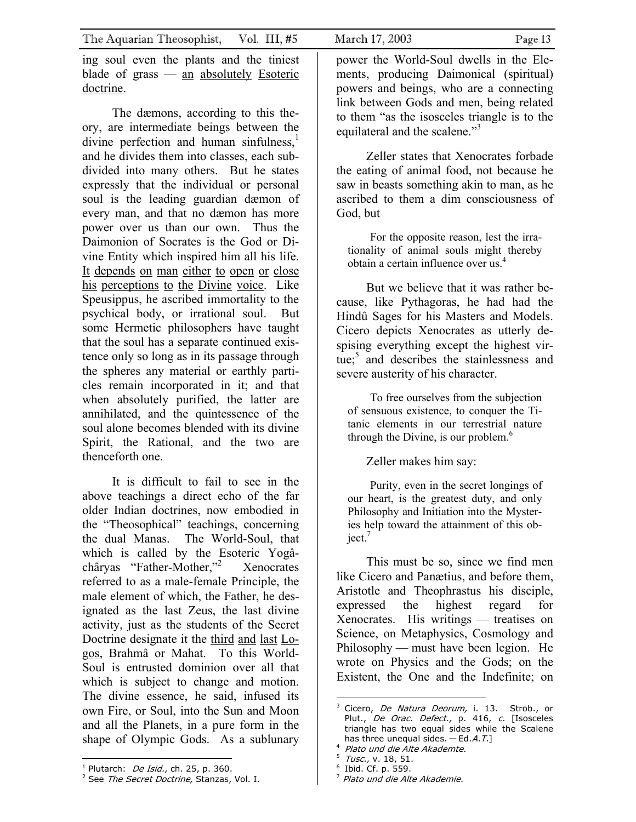ing soul even the plants and the tiniest blade of grass — an absolutely Esoteric doctrine.

The dæmons, according to this theory, are intermediate beings between the divine perfection and human sinfulness,<sup>[1](#page-12-0)</sup> and he divides them into classes, each subdivided into many others. But he states expressly that the individual or personal soul is the leading guardian dæmon of every man, and that no dæmon has more power over us than our own. Thus the Daimonion of Socrates is the God or Divine Entity which inspired him all his life. It depends on man either to open or close his perceptions to the Divine voice. Like Speusippus, he ascribed immortality to the psychical body, or irrational soul. But some Hermetic philosophers have taught that the soul has a separate continued existence only so long as in its passage through the spheres any material or earthly particles remain incorporated in it; and that when absolutely purified, the latter are annihilated, and the quintessence of the soul alone becomes blended with its divine Spirit, the Rational, and the two are thenceforth one.

It is difficult to fail to see in the above teachings a direct echo of the far older Indian doctrines, now embodied in the "Theosophical" teachings, concerning the dual Manas. The World-Soul, that which is called by the Esoteric Yogâchâryas "Father-Mother,["2](#page-12-1) Xenocrates referred to as a male-female Principle, the male element of which, the Father, he designated as the last Zeus, the last divine activity, just as the students of the Secret Doctrine designate it the third and last Logos, Brahmâ or Mahat. To this World-Soul is entrusted dominion over all that which is subject to change and motion. The divine essence, he said, infused its own Fire, or Soul, into the Sun and Moon and all the Planets, in a pure form in the shape of Olympic Gods. As a sublunary

power the World-Soul dwells in the Elements, producing Daimonical (spiritual) powers and beings, who are a connecting link between Gods and men, being related to them "as the isosceles triangle is to the equilateral and the scalene."<sup>[3](#page-12-2)</sup>

Zeller states that Xenocrates forbade the eating of animal food, not because he saw in beasts something akin to man, as he ascribed to them a dim consciousness of God, but

For the opposite reason, lest the irrationality of animal souls might thereby obtain a certain influence over us.<sup>[4](#page-12-3)</sup>

But we believe that it was rather because, like Pythagoras, he had had the Hindû Sages for his Masters and Models. Cicero depicts Xenocrates as utterly despising everything except the highest virtue; $5$  and describes the stainlessness and severe austerity of his character.

To free ourselves from the subjection of sensuous existence, to conquer the Titanic elements in our terrestrial nature through the Divine, is our problem.<sup>[6](#page-12-5)</sup>

Zeller makes him say:

Purity, even in the secret longings of our heart, is the greatest duty, and only Philosophy and Initiation into the Mysteries help toward the attainment of this ob- $ject.<sup>7</sup>$  $ject.<sup>7</sup>$  $ject.<sup>7</sup>$ 

This must be so, since we find men like Cicero and Panætius, and before them, Aristotle and Theophrastus his disciple, expressed the highest regard for Xenocrates. His writings — treatises on Science, on Metaphysics, Cosmology and Philosophy — must have been legion. He wrote on Physics and the Gods; on the Existent, the One and the Indefinite; on

l <sup>1</sup> Plutarch: *De Isid.,* ch. 25, p. 360.<br><sup>2</sup> See *The Secret Destrine* Stanzas

<span id="page-12-1"></span><span id="page-12-0"></span><sup>&</sup>lt;sup>2</sup> See The Secret Doctrine, Stanzas, Vol. I.

<span id="page-12-2"></span> 3 Cicero, De Natura Deorum, i. 13. Strob., or Plut., *De Orac. Defect.,* p. 416, *c.* [Isosceles triangle has two equal sides while the Scalene has three unequal sides.  $-$  Ed.A.T.

<span id="page-12-3"></span>Plato und die Alte Akademte.

<span id="page-12-4"></span> $5$  Tusc., v. 18, 51.

<span id="page-12-5"></span> $6$  Ibid. Cf. p. 559.

<span id="page-12-6"></span><sup>7</sup> Plato und die Alte Akademie.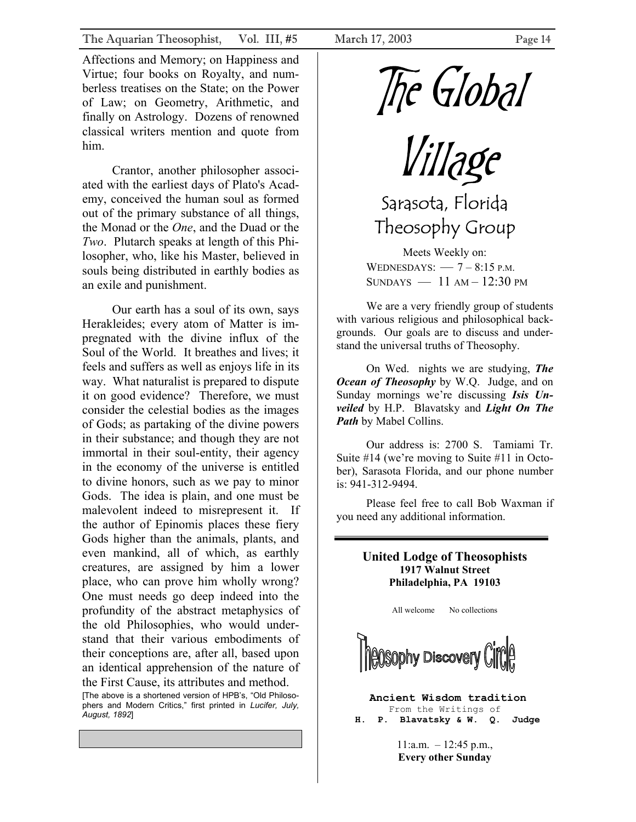<span id="page-13-0"></span>Affections and Memory; on Happiness and Virtue; four books on Royalty, and numberless treatises on the State; on the Power of Law; on Geometry, Arithmetic, and finally on Astrology. Dozens of renowned classical writers mention and quote from him.

Crantor, another philosopher associated with the earliest days of Plato's Academy, conceived the human soul as formed out of the primary substance of all things, the Monad or the *One*, and the Duad or the *Two*. Plutarch speaks at length of this Philosopher, who, like his Master, believed in souls being distributed in earthly bodies as an exile and punishment.

Our earth has a soul of its own, says Herakleides; every atom of Matter is impregnated with the divine influx of the Soul of the World. It breathes and lives; it feels and suffers as well as enjoys life in its way. What naturalist is prepared to dispute it on good evidence? Therefore, we must consider the celestial bodies as the images of Gods; as partaking of the divine powers in their substance; and though they are not immortal in their soul-entity, their agency in the economy of the universe is entitled to divine honors, such as we pay to minor Gods. The idea is plain, and one must be malevolent indeed to misrepresent it. If the author of Epinomis places these fiery Gods higher than the animals, plants, and even mankind, all of which, as earthly creatures, are assigned by him a lower place, who can prove him wholly wrong? One must needs go deep indeed into the profundity of the abstract metaphysics of the old Philosophies, who would understand that their various embodiments of their conceptions are, after all, based upon an identical apprehension of the nature of the First Cause, its attributes and method.

[The above is a shortened version of HPB's, "Old Philoso- **Ancient Wisdom tradition** phers and Modern Critics," first printed in *Lucifer, July,* From the Writings of and Modern Critics," first printed in *Lucifer, July,* From the Writings of and analyze the Music of and August, 1892]

The Global<br>Village

Sarasota, Florida Theosophy Group

Meets Weekly on: WEDNESDAYS:  $-7 - 8:15$  P.M. SUNDAYS  $-11$  AM  $-12:30$  PM

We are a very friendly group of students with various religious and philosophical backgrounds. Our goals are to discuss and understand the universal truths of Theosophy.

On Wed. nights we are studying, *The Ocean of Theosophy* by W.Q. Judge, and on Sunday mornings we're discussing *Isis Unveiled* by H.P. Blavatsky and *Light On The Path* by Mabel Collins.

Our address is: 2700 S. Tamiami Tr. Suite #14 (we're moving to Suite #11 in October), Sarasota Florida, and our phone number is: 941-312-9494.

Please feel free to call Bob Waxman if you need any additional information.

#### **United Lodge of Theosophists 1917 Walnut Street Philadelphia, PA 19103**

All welcome No collections



 **H. P. Blavatsky & W. Q. Judge**

 $11:a.m. -12:45 p.m.,$ **Every other Sunday**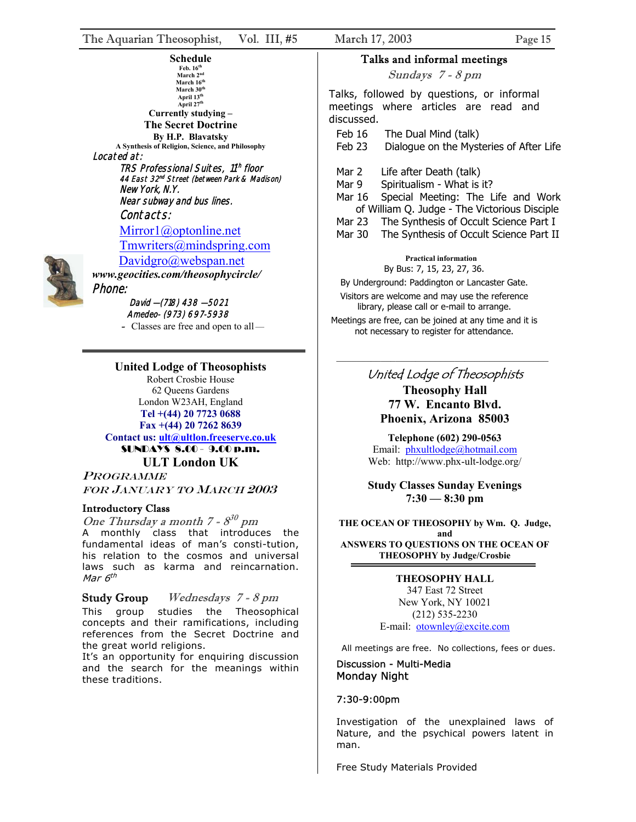**Feb. 16th March 16th April 13th April 27th Currently studying – The Secret Doctrine By H.P.** Blavatsky **Bushess** of Religion, Science, and Philosophy **Feb 23** Dialogue on the Myst Located at: TRS Professional Suites, 1<sup>th</sup> floor<br>
44 East 32<sup>nd</sup> Street (between Park & Madison) Mar 2 Life after Death (talk)<br>
New York, N.Y.<br>
Mar 16 Special Meeting: The L Contacts:<br>Mar 23 The Synthesis of Occult Science Part I<br>Mar 30 The Synthesis of Occult Science Part II [Tmwriters@mindspring.com](mailto:Tmwriters@mindspring.com) **[Davidgro@webspan.net](mailto:Davidgro@webspan.net) Practical information**<br>By Bus: 7, 15, 23, 27, 36. **By Bus. 7, 15, 23, 27, 36.**<br>By Underground: Paddington or Lancaster Gate.<br>David – (718) 438 – 5021 By Underground: Paddington or Lancaster Gate.<br>library please call or e-mail to arrange

# $\mu$  David  $-$  (718) 438 – 5021 david  $\mu$  library, please call or e-mail to arrange.<br>Amedeo- (973) 697-5938

#### **United Lodge of Theosophists**

Robert Crosbie House 62 Queens Gardens London W23AH, England **Tel +(44) 20 7723 0688 Fax +(44) 20 7262 8639**

**Contact us: [ult@ultlon.freeserve.co.uk](mailto:ult@ultlon.freeserve.co.uk)** SUNDAYS 8.00 - 9.00 p.m.

**ULT London UK** 

PROGRAMME FOR JANUARY TO MARCH 2003

#### Introductory Class

One Thursday a month  $7 - 8^{30}$  pm A monthly class that introduces the fundamental ideas of man's consti-tution, his relation to the cosmos and universal laws such as karma and reincarnation. Mar  $6^{th}$ 

## **Study Group** *Wednesdays 7 - 8 pm* 347 East 72 Street New York, NY 10021

This group studies the Theosophical concepts and their ramifications, including references from the Secret Doctrine and the great world religions.

It's an opportunity for enquiring discussion and the search for the meanings within these traditions.

#### **Schedule Talks and informal meetings**

Sundays 7 - 8 pm

Talks, followed by questions, or informal meetings where articles are read and discussed.

**Dialogue on the Mysteries of After Life** 

- Special Meeting: The Life and Work Near subway and bus lines.<br>Contacts: Contacts: Contacts: Contacts: Contacts: Contacts: Contacts: Contacts: Contacts: Contacts: Contacts:
	-
	- Mar 30 The Synthesis of Occult Science Part II

Amedeo- (973) 697-5938<br>  $-$  Classes are free and open to all  $-$  Meetings are free, can be joined at any time and it is not necessary to register for attendance.

#### United Lodge of Theosophists **Theosophy Hall 77 W. Encanto Blvd. Phoenix, Arizona 85003**

 $\mathcal{L}_\text{max}$  and  $\mathcal{L}_\text{max}$  and  $\mathcal{L}_\text{max}$  and  $\mathcal{L}_\text{max}$ 

**Telephone (602) 290-0563** Email: [phxultlodge@hotmail.com](mailto:phxultlodge@hotmail.com) Web: http://www.phx-ult-lodge.org/

**Study Classes Sunday Evenings 7:30 — 8:30 pm**

**THE OCEAN OF THEOSOPHY by Wm. Q. Judge, and ANSWERS TO QUESTIONS ON THE OCEAN OF THEOSOPHY by Judge/Crosbie**

#### **THEOSOPHY HALL**

(212) 535-2230 E-mail: [otownley@excite.com](mailto:otownley@excite.com)

All meetings are free. No collections, fees or dues.

#### Discussion - Multi-Media Monday Night

#### 7:30-9:00pm

Investigation of the unexplained laws of Nature, and the psychical powers latent in man.

Free Study Materials Provided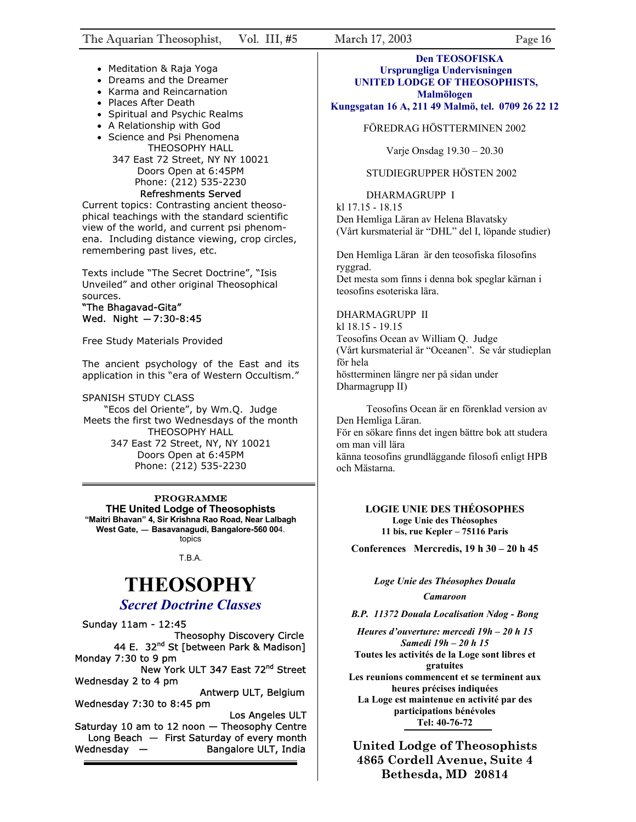- Meditation & Raja Yoga
- Dreams and the Dreamer
- Karma and Reincarnation
- Places After Death
- Spiritual and Psychic Realms
- A Relationship with God
- Science and Psi Phenomena
	- THEOSOPHY HALL 347 East 72 Street, NY NY 10021 Doors Open at 6:45PM Phone: (212) 535-2230 Refreshments Served

Current topics: Contrasting ancient theosophical teachings with the standard scientific view of the world, and current psi phenomena. Including distance viewing, crop circles, remembering past lives, etc.

Texts include "The Secret Doctrine", "Isis Unveiled" and other original Theosophical sources.

#### "The Bhagavad-Gita" Wed. Night — 7:30-8:45

Free Study Materials Provided

The ancient psychology of the East and its application in this "era of Western Occultism."

SPANISH STUDY CLASS "Ecos del Oriente", by Wm.Q. Judge Meets the first two Wednesdays of the month THEOSOPHY HALL 347 East 72 Street, NY, NY 10021 Doors Open at 6:45PM Phone: (212) 535-2230

#### ٦ PROGRAMME

**THE United Lodge of Theosophists "Maitri Bhavan" 4, Sir Krishna Rao Road, Near Lalbagh West Gate, — Basavanagudi, Bangalore-560 00**4. topics

T.B.A.

## **THEOSOPHY**

#### *Secret Doctrine Classes*

Sunday 11am - 12:45

 Theosophy Discovery Circle 44 E. 32<sup>nd</sup> St [between Park & Madison] Monday 7:30 to 9 pm

New York ULT 347 East 72<sup>nd</sup> Street Wednesday 2 to 4 pm

 Antwerp ULT, Belgium Wednesday 7:30 to 8:45 pm

 Los Angeles ULT Saturday 10 am to 12 noon — Theosophy Centre Long Beach — First Saturday of every month Wednesday — Bangalore ULT, India

**Den TEOSOFISKA Ursprungliga Undervisningen UNITED LODGE OF THEOSOPHISTS, Malmölogen Kungsgatan 16 A, 211 49 Malmö, tel. 0709 26 22 12**

#### FÖREDRAG HÖSTTERMINEN 2002

Varje Onsdag 19.30 – 20.30

#### STUDIEGRUPPER HÖSTEN 2002

#### DHARMAGRUPP I

kl 17.15 - 18.15 Den Hemliga Läran av Helena Blavatsky (Vårt kursmaterial är "DHL" del I, löpande studier)

Den Hemliga Läran är den teosofiska filosofins ryggrad. Det mesta som finns i denna bok speglar kärnan i teosofins esoteriska lära.

#### DHARMAGRUPP II

kl 18.15 - 19.15 Teosofins Ocean av William Q. Judge (Vårt kursmaterial är "Oceanen". Se vår studieplan för hela höstterminen längre ner på sidan under Dharmagrupp II)

Teosofins Ocean är en förenklad version av Den Hemliga Läran. För en sökare finns det ingen bättre bok att studera om man vill lära känna teosofins grundläggande filosofi enligt HPB och Mästarna.

> **LOGIE UNIE DES THÉOSOPHES Loge Unie des Théosophes 11 bis, rue Kepler – 75116 Paris**

**Conferences Mercredis, 19 h 30 – 20 h 45** 

#### *Loge Unie des Théosophes Douala*

*Camaroon* 

*B.P. 11372 Douala Localisation Ndog - Bong* 

*Heures d'ouverture: mercedi 19h – 20 h 15 Samedi 19h – 20 h 15* 

**Toutes les activités de la Loge sont libres et gratuites** 

**Les reunions commencent et se terminent aux heures précises indiquées**

**La Loge est maintenue en activité par des participations bénévoles Tel: 40-76-72** 

**United Lodge of Theosophists 4865 Cordell Avenue, Suite 4 Bethesda, MD 20814**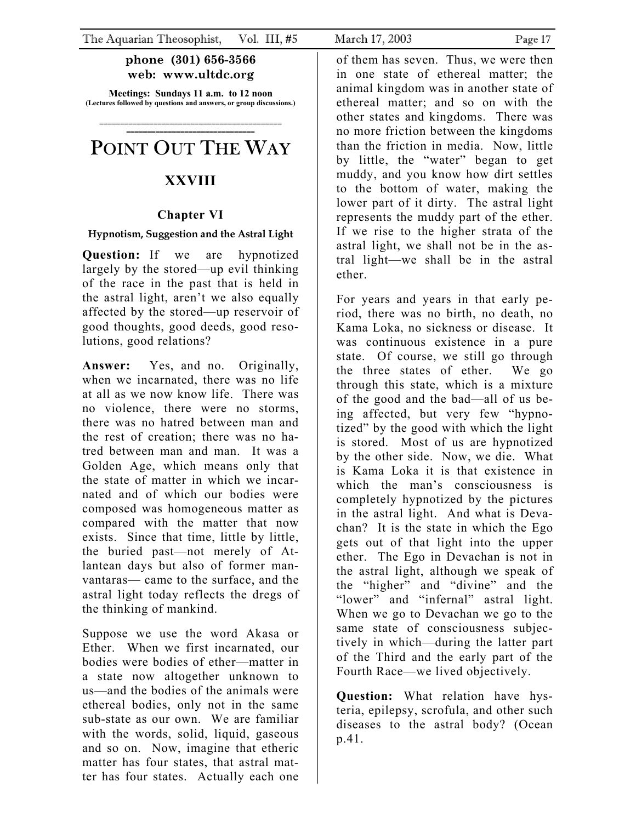**phone (301) 656-3566 web: www.ultdc.org** 

<span id="page-16-0"></span>**Meetings: Sundays 11 a.m. to 12 noon (Lectures followed by questions and answers, or group discussions.)** 

**============================================** 

#### **===============================**  POINT OUT THE WAY

### **XXVIII**

#### **Chapter VI**

#### **Hypnotism, Suggestion and the Astral Light**

**Question:** If we are hypnotized largely by the stored—up evil thinking of the race in the past that is held in the astral light, aren't we also equally affected by the stored—up reservoir of good thoughts, good deeds, good resolutions, good relations?

**Answer:** Yes, and no. Originally, when we incarnated, there was no life at all as we now know life. There was no violence, there were no storms, there was no hatred between man and the rest of creation; there was no hatred between man and man. It was a Golden Age, which means only that the state of matter in which we incarnated and of which our bodies were composed was homogeneous matter as compared with the matter that now exists. Since that time, little by little, the buried past—not merely of Atlantean days but also of former manvantaras— came to the surface, and the astral light today reflects the dregs of the thinking of mankind.

Suppose we use the word Akasa or Ether. When we first incarnated, our bodies were bodies of ether—matter in a state now altogether unknown to us—and the bodies of the animals were ethereal bodies, only not in the same sub-state as our own. We are familiar with the words, solid, liquid, gaseous and so on. Now, imagine that etheric matter has four states, that astral matter has four states. Actually each one

of them has seven. Thus, we were then in one state of ethereal matter; the animal kingdom was in another state of ethereal matter; and so on with the other states and kingdoms. There was no more friction between the kingdoms than the friction in media. Now, little by little, the "water" began to get muddy, and you know how dirt settles to the bottom of water, making the lower part of it dirty. The astral light represents the muddy part of the ether. If we rise to the higher strata of the astral light, we shall not be in the astral light—we shall be in the astral ether.

For years and years in that early period, there was no birth, no death, no Kama Loka, no sickness or disease. It was continuous existence in a pure state. Of course, we still go through the three states of ether. We go through this state, which is a mixture of the good and the bad—all of us being affected, but very few "hypnotized" by the good with which the light is stored. Most of us are hypnotized by the other side. Now, we die. What is Kama Loka it is that existence in which the man's consciousness is completely hypnotized by the pictures in the astral light. And what is Devachan? It is the state in which the Ego gets out of that light into the upper ether. The Ego in Devachan is not in the astral light, although we speak of the "higher" and "divine" and the "lower" and "infernal" astral light. When we go to Devachan we go to the same state of consciousness subjectively in which—during the latter part of the Third and the early part of the Fourth Race—we lived objectively.

**Question:** What relation have hysteria, epilepsy, scrofula, and other such diseases to the astral body? (Ocean p.41.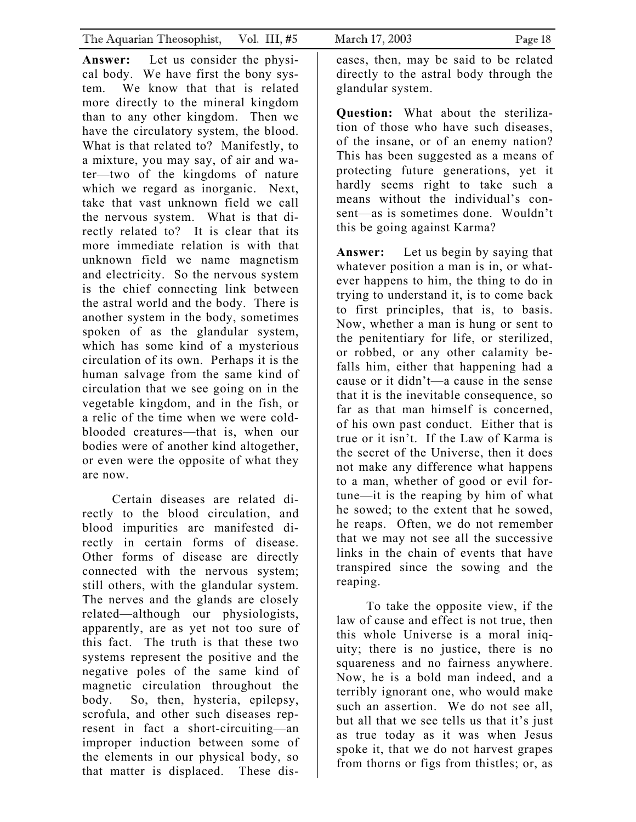| The Aquarian Theosophist, Vol. III, #5 | March 17, 2003 | Page 18 |
|----------------------------------------|----------------|---------|
|                                        |                |         |

**Answer:** Let us consider the physical body. We have first the bony system. We know that that is related more directly to the mineral kingdom than to any other kingdom. Then we have the circulatory system, the blood. What is that related to? Manifestly, to a mixture, you may say, of air and water—two of the kingdoms of nature which we regard as inorganic. Next, take that vast unknown field we call the nervous system. What is that directly related to? It is clear that its more immediate relation is with that unknown field we name magnetism and electricity. So the nervous system is the chief connecting link between the astral world and the body. There is another system in the body, sometimes spoken of as the glandular system, which has some kind of a mysterious circulation of its own. Perhaps it is the human salvage from the same kind of circulation that we see going on in the vegetable kingdom, and in the fish, or a relic of the time when we were coldblooded creatures—that is, when our bodies were of another kind altogether, or even were the opposite of what they are now.

 Certain diseases are related directly to the blood circulation, and blood impurities are manifested directly in certain forms of disease. Other forms of disease are directly connected with the nervous system; still others, with the glandular system. The nerves and the glands are closely related—although our physiologists, apparently, are as yet not too sure of this fact. The truth is that these two systems represent the positive and the negative poles of the same kind of magnetic circulation throughout the body. So, then, hysteria, epilepsy, scrofula, and other such diseases represent in fact a short-circuiting—an improper induction between some of the elements in our physical body, so that matter is displaced. These diseases, then, may be said to be related directly to the astral body through the glandular system.

**Question:** What about the sterilization of those who have such diseases, of the insane, or of an enemy nation? This has been suggested as a means of protecting future generations, yet it hardly seems right to take such a means without the individual's consent—as is sometimes done. Wouldn't this be going against Karma?

**Answer:** Let us begin by saying that whatever position a man is in, or whatever happens to him, the thing to do in trying to understand it, is to come back to first principles, that is, to basis. Now, whether a man is hung or sent to the penitentiary for life, or sterilized, or robbed, or any other calamity befalls him, either that happening had a cause or it didn't—a cause in the sense that it is the inevitable consequence, so far as that man himself is concerned, of his own past conduct. Either that is true or it isn't. If the Law of Karma is the secret of the Universe, then it does not make any difference what happens to a man, whether of good or evil fortune—it is the reaping by him of what he sowed; to the extent that he sowed, he reaps. Often, we do not remember that we may not see all the successive links in the chain of events that have transpired since the sowing and the reaping.

 To take the opposite view, if the law of cause and effect is not true, then this whole Universe is a moral iniquity; there is no justice, there is no squareness and no fairness anywhere. Now, he is a bold man indeed, and a terribly ignorant one, who would make such an assertion. We do not see all. but all that we see tells us that it's just as true today as it was when Jesus spoke it, that we do not harvest grapes from thorns or figs from thistles; or, as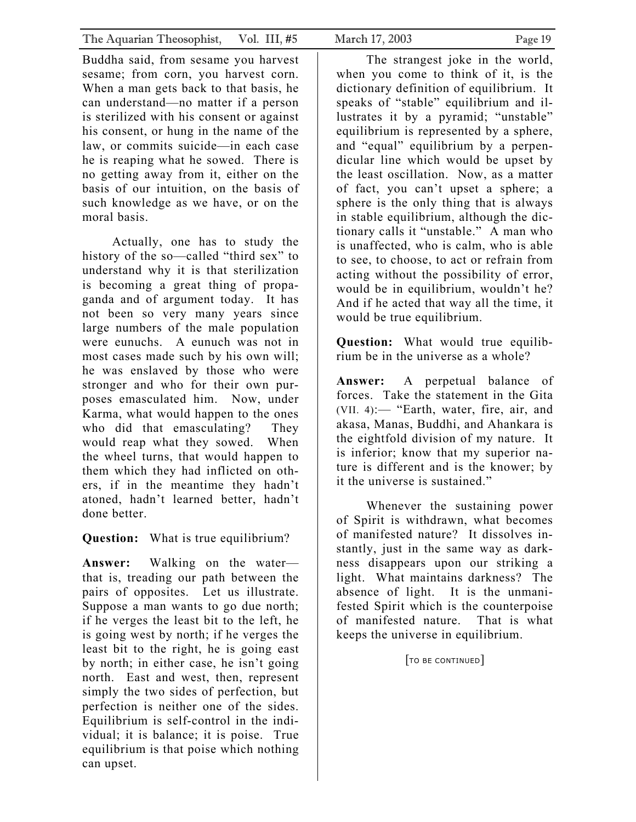Buddha said, from sesame you harvest sesame; from corn, you harvest corn. When a man gets back to that basis, he can understand—no matter if a person is sterilized with his consent or against his consent, or hung in the name of the law, or commits suicide—in each case he is reaping what he sowed. There is no getting away from it, either on the basis of our intuition, on the basis of such knowledge as we have, or on the moral basis.

 Actually, one has to study the history of the so—called "third sex" to understand why it is that sterilization is becoming a great thing of propaganda and of argument today. It has not been so very many years since large numbers of the male population were eunuchs. A eunuch was not in most cases made such by his own will; he was enslaved by those who were stronger and who for their own purposes emasculated him. Now, under Karma, what would happen to the ones who did that emasculating? They would reap what they sowed. When the wheel turns, that would happen to them which they had inflicted on others, if in the meantime they hadn't atoned, hadn't learned better, hadn't done better.

#### **Question:** What is true equilibrium?

**Answer:** Walking on the water that is, treading our path between the pairs of opposites. Let us illustrate. Suppose a man wants to go due north; if he verges the least bit to the left, he is going west by north; if he verges the least bit to the right, he is going east by north; in either case, he isn't going north. East and west, then, represent simply the two sides of perfection, but perfection is neither one of the sides. Equilibrium is self-control in the individual; it is balance; it is poise. True equilibrium is that poise which nothing can upset.

 The strangest joke in the world, when you come to think of it, is the dictionary definition of equilibrium. It speaks of "stable" equilibrium and illustrates it by a pyramid; "unstable" equilibrium is represented by a sphere, and "equal" equilibrium by a perpendicular line which would be upset by the least oscillation. Now, as a matter of fact, you can't upset a sphere; a sphere is the only thing that is always in stable equilibrium, although the dictionary calls it "unstable." A man who is unaffected, who is calm, who is able to see, to choose, to act or refrain from acting without the possibility of error, would be in equilibrium, wouldn't he? And if he acted that way all the time, it would be true equilibrium.

**Question:** What would true equilibrium be in the universe as a whole?

**Answer:** A perpetual balance of forces. Take the statement in the Gita (VII. 4):— "Earth, water, fire, air, and akasa, Manas, Buddhi, and Ahankara is the eightfold division of my nature. It is inferior; know that my superior nature is different and is the knower; by it the universe is sustained."

 Whenever the sustaining power of Spirit is withdrawn, what becomes of manifested nature? It dissolves instantly, just in the same way as darkness disappears upon our striking a light. What maintains darkness? The absence of light. It is the unmanifested Spirit which is the counterpoise of manifested nature. That is what keeps the universe in equilibrium.

[TO BE CONTINUED]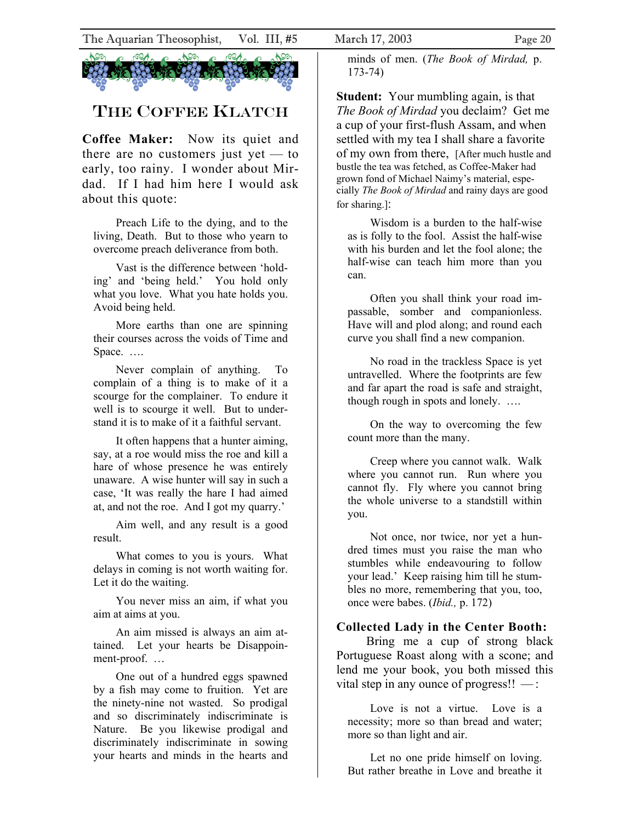<span id="page-19-0"></span>

#### THE COFFEE KLATCH

**Coffee Maker:** Now its quiet and there are no customers just yet  $-$  to early, too rainy. I wonder about Mirdad. If I had him here I would ask about this quote:

Preach Life to the dying, and to the living, Death. But to those who yearn to overcome preach deliverance from both.

Vast is the difference between 'holding' and 'being held.' You hold only what you love. What you hate holds you. Avoid being held.

More earths than one are spinning their courses across the voids of Time and Space. ….

Never complain of anything. To complain of a thing is to make of it a scourge for the complainer. To endure it well is to scourge it well. But to understand it is to make of it a faithful servant.

It often happens that a hunter aiming, say, at a roe would miss the roe and kill a hare of whose presence he was entirely unaware. A wise hunter will say in such a case, 'It was really the hare I had aimed at, and not the roe. And I got my quarry.'

Aim well, and any result is a good result.

What comes to you is yours. What delays in coming is not worth waiting for. Let it do the waiting.

You never miss an aim, if what you aim at aims at you.

An aim missed is always an aim attained. Let your hearts be Disappoinment-proof. …

One out of a hundred eggs spawned by a fish may come to fruition. Yet are the ninety-nine not wasted. So prodigal and so discriminately indiscriminate is Nature. Be you likewise prodigal and discriminately indiscriminate in sowing your hearts and minds in the hearts and

minds of men. (*The Book of Mirdad,* p. 173-74)

**Student:** Your mumbling again, is that *The Book of Mirdad* you declaim? Get me a cup of your first-flush Assam, and when settled with my tea I shall share a favorite of my own from there, [After much hustle and bustle the tea was fetched, as Coffee-Maker had grown fond of Michael Naimy's material, especially *The Book of Mirdad* and rainy days are good for sharing.]:

Wisdom is a burden to the half-wise as is folly to the fool. Assist the half-wise with his burden and let the fool alone; the half-wise can teach him more than you can.

Often you shall think your road impassable, somber and companionless. Have will and plod along; and round each curve you shall find a new companion.

No road in the trackless Space is yet untravelled. Where the footprints are few and far apart the road is safe and straight, though rough in spots and lonely. ….

On the way to overcoming the few count more than the many.

Creep where you cannot walk. Walk where you cannot run. Run where you cannot fly. Fly where you cannot bring the whole universe to a standstill within you.

Not once, nor twice, nor yet a hundred times must you raise the man who stumbles while endeavouring to follow your lead.' Keep raising him till he stumbles no more, remembering that you, too, once were babes. (*Ibid.,* p. 172)

#### **Collected Lady in the Center Booth:**

Bring me a cup of strong black Portuguese Roast along with a scone; and lend me your book, you both missed this vital step in any ounce of progress!!  $-$ :

Love is not a virtue. Love is a necessity; more so than bread and water; more so than light and air.

Let no one pride himself on loving. But rather breathe in Love and breathe it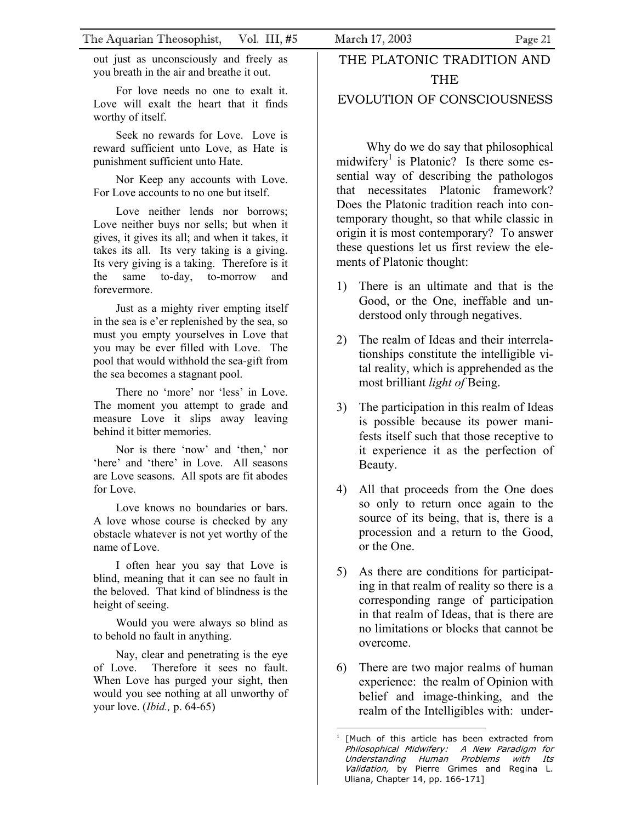out just as unconsciously and freely as you breath in the air and breathe it out.

For love needs no one to exalt it. Love will exalt the heart that it finds worthy of itself.

Seek no rewards for Love. Love is reward sufficient unto Love, as Hate is punishment sufficient unto Hate.

Nor Keep any accounts with Love. For Love accounts to no one but itself.

Love neither lends nor borrows; Love neither buys nor sells; but when it gives, it gives its all; and when it takes, it takes its all. Its very taking is a giving. Its very giving is a taking. Therefore is it the same to-day, to-morrow and forevermore.

Just as a mighty river empting itself in the sea is e'er replenished by the sea, so must you empty yourselves in Love that you may be ever filled with Love. The pool that would withhold the sea-gift from the sea becomes a stagnant pool.

There no 'more' nor 'less' in Love. The moment you attempt to grade and measure Love it slips away leaving behind it bitter memories.

Nor is there 'now' and 'then,' nor 'here' and 'there' in Love. All seasons are Love seasons. All spots are fit abodes for Love.

Love knows no boundaries or bars. A love whose course is checked by any obstacle whatever is not yet worthy of the name of Love.

I often hear you say that Love is blind, meaning that it can see no fault in the beloved. That kind of blindness is the height of seeing.

Would you were always so blind as to behold no fault in anything.

Nay, clear and penetrating is the eye of Love. Therefore it sees no fault. When Love has purged your sight, then would you see nothing at all unworthy of your love. (*Ibid.,* p. 64-65)

### EVOLUTION OF CONSCIOUSNESS

Why do we do say that philosophical midwifery<sup>[1](#page-20-0)</sup> is Platonic? Is there some essential way of describing the pathologos that necessitates Platonic framework? Does the Platonic tradition reach into contemporary thought, so that while classic in origin it is most contemporary? To answer these questions let us first review the elements of Platonic thought:

- 1) There is an ultimate and that is the Good, or the One, ineffable and understood only through negatives.
- 2) The realm of Ideas and their interrelationships constitute the intelligible vital reality, which is apprehended as the most brilliant *light of* Being.
- 3) The participation in this realm of Ideas is possible because its power manifests itself such that those receptive to it experience it as the perfection of Beauty.
- 4) All that proceeds from the One does so only to return once again to the source of its being, that is, there is a procession and a return to the Good, or the One.
- 5) As there are conditions for participating in that realm of reality so there is a corresponding range of participation in that realm of Ideas, that is there are no limitations or blocks that cannot be overcome.
- 6) There are two major realms of human experience: the realm of Opinion with belief and image-thinking, and the realm of the Intelligibles with: under-

<span id="page-20-0"></span> $\overline{a}$ Philosophical Midwifery: A New Paradigm for 1 [Much of this article has been extracted from Understanding Human Problems with Its Validation, by Pierre Grimes and Regina L. Uliana, Chapter 14, pp. 166-171]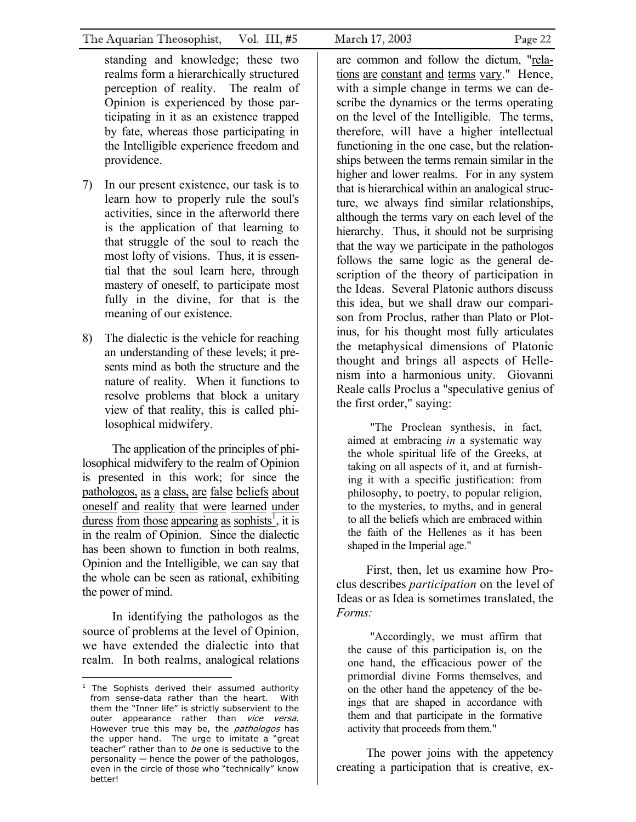standing and knowledge; these two realms form a hierarchically structured perception of reality. The realm of Opinion is experienced by those participating in it as an existence trapped by fate, whereas those participating in the Intelligible experience freedom and providence.

- 7) In our present existence, our task is to learn how to properly rule the soul's activities, since in the afterworld there is the application of that learning to that struggle of the soul to reach the most lofty of visions. Thus, it is essential that the soul learn here, through mastery of oneself, to participate most fully in the divine, for that is the meaning of our existence.
- 8) The dialectic is the vehicle for reaching an understanding of these levels; it presents mind as both the structure and the nature of reality. When it functions to resolve problems that block a unitary view of that reality, this is called philosophical midwifery.

The application of the principles of philosophical midwifery to the realm of Opinion is presented in this work; for since the pathologos, as a class, are false beliefs about oneself and reality that were learned under duress from those appearing as sophists<sup>[1](#page-21-0)</sup>, it is in the realm of Opinion. Since the dialectic has been shown to function in both realms, Opinion and the Intelligible, we can say that the whole can be seen as rational, exhibiting the power of mind.

In identifying the pathologos as the source of problems at the level of Opinion, we have extended the dialectic into that realm. In both realms, analogical relations

are common and follow the dictum, "relations are constant and terms vary." Hence, with a simple change in terms we can describe the dynamics or the terms operating on the level of the Intelligible. The terms, therefore, will have a higher intellectual functioning in the one case, but the relationships between the terms remain similar in the higher and lower realms. For in any system that is hierarchical within an analogical structure, we always find similar relationships, although the terms vary on each level of the hierarchy. Thus, it should not be surprising that the way we participate in the pathologos follows the same logic as the general description of the theory of participation in the Ideas. Several Platonic authors discuss this idea, but we shall draw our comparison from Proclus, rather than Plato or Plotinus, for his thought most fully articulates the metaphysical dimensions of Platonic thought and brings all aspects of Hellenism into a harmonious unity. Giovanni Reale calls Proclus a "speculative genius of the first order," saying:

"The Proclean synthesis, in fact, aimed at embracing *in* a systematic way the whole spiritual life of the Greeks, at taking on all aspects of it, and at furnishing it with a specific justification: from philosophy, to poetry, to popular religion, to the mysteries, to myths, and in general to all the beliefs which are embraced within the faith of the Hellenes as it has been shaped in the Imperial age."

First, then, let us examine how Proclus describes *participation* on the level of Ideas or as Idea is sometimes translated, the *Forms:* 

"Accordingly, we must affirm that the cause of this participation is, on the one hand, the efficacious power of the primordial divine Forms themselves, and on the other hand the appetency of the beings that are shaped in accordance with them and that participate in the formative activity that proceeds from them."

The power joins with the appetency creating a participation that is creative, ex-

<span id="page-21-0"></span> <sup>1</sup> The Sophists derived their assumed authority from sense-data rather than the heart. With them the "Inner life" is strictly subservient to the outer appearance rather than vice versa. However true this may be, the *pathologos* has the upper hand. The urge to imitate a "great teacher" rather than to be one is seductive to the personality — hence the power of the pathologos, even in the circle of those who "technically" know better!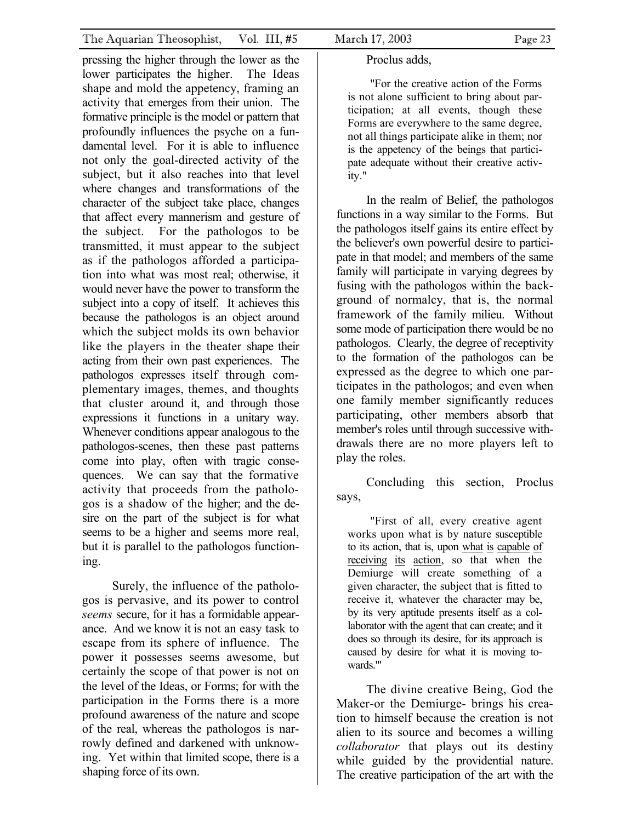pressing the higher through the lower as the lower participates the higher. The Ideas shape and mold the appetency, framing an activity that emerges from their union. The formative principle is the model or pattern that profoundly influences the psyche on a fundamental level. For it is able to influence not only the goal-directed activity of the subject, but it also reaches into that level where changes and transformations of the character of the subject take place, changes that affect every mannerism and gesture of the subject. For the pathologos to be transmitted, it must appear to the subject as if the pathologos afforded a participation into what was most real; otherwise, it would never have the power to transform the subject into a copy of itself. It achieves this because the pathologos is an object around which the subject molds its own behavior like the players in the theater shape their acting from their own past experiences. The pathologos expresses itself through complementary images, themes, and thoughts that cluster around it, and through those expressions it functions in a unitary way. Whenever conditions appear analogous to the pathologos-scenes, then these past patterns come into play, often with tragic consequences. We can say that the formative activity that proceeds from the pathologos is a shadow of the higher; and the desire on the part of the subject is for what seems to be a higher and seems more real, but it is parallel to the pathologos functioning.

Surely, the influence of the pathologos is pervasive, and its power to control *seems* secure, for it has a formidable appearance. And we know it is not an easy task to escape from its sphere of influence. The power it possesses seems awesome, but certainly the scope of that power is not on the level of the Ideas, or Forms; for with the participation in the Forms there is a more profound awareness of the nature and scope of the real, whereas the pathologos is narrowly defined and darkened with unknowing. Yet within that limited scope, there is a shaping force of its own.

Proclus adds,

"For the creative action of the Forms is not alone sufficient to bring about participation; at all events, though these Forms are everywhere to the same degree, not all things participate alike in them; nor is the appetency of the beings that participate adequate without their creative activity."

In the realm of Belief, the pathologos functions in a way similar to the Forms. But the pathologos itself gains its entire effect by the believer's own powerful desire to participate in that model; and members of the same family will participate in varying degrees by fusing with the pathologos within the background of normalcy, that is, the normal framework of the family milieu. Without some mode of participation there would be no pathologos. Clearly, the degree of receptivity to the formation of the pathologos can be expressed as the degree to which one participates in the pathologos; and even when one family member significantly reduces participating, other members absorb that member's roles until through successive withdrawals there are no more players left to play the roles.

Concluding this section, Proclus says,

"First of all, every creative agent works upon what is by nature susceptible to its action, that is, upon what is capable of receiving its action, so that when the Demiurge will create something of a given character, the subject that is fitted to receive it, whatever the character may be, by its very aptitude presents itself as a collaborator with the agent that can create; and it does so through its desire, for its approach is caused by desire for what it is moving towards."'

The divine creative Being, God the Maker-or the Demiurge- brings his creation to himself because the creation is not alien to its source and becomes a willing *collaborator* that plays out its destiny while guided by the providential nature. The creative participation of the art with the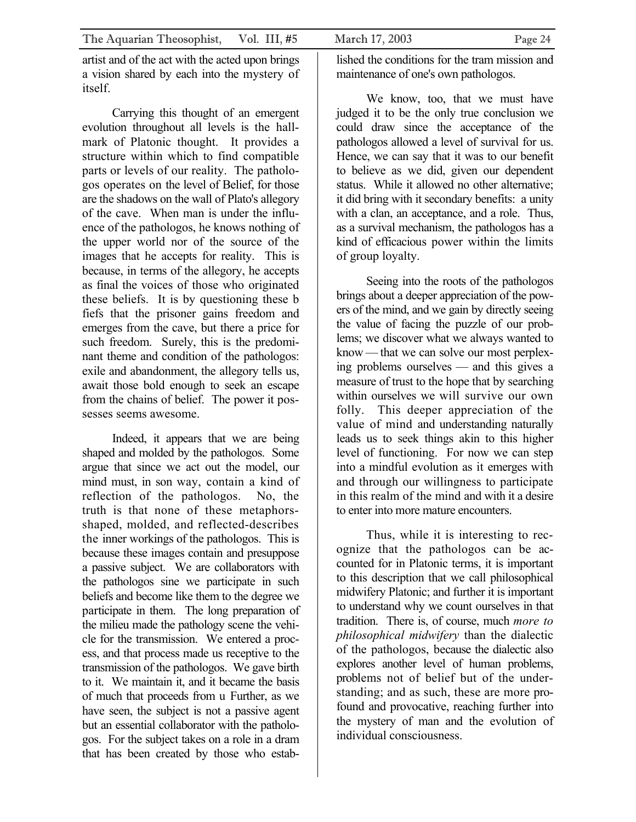artist and of the act with the acted upon brings a vision shared by each into the mystery of itself.

Carrying this thought of an emergent evolution throughout all levels is the hallmark of Platonic thought. It provides a structure within which to find compatible parts or levels of our reality. The pathologos operates on the level of Belief, for those are the shadows on the wall of Plato's allegory of the cave. When man is under the influence of the pathologos, he knows nothing of the upper world nor of the source of the images that he accepts for reality. This is because, in terms of the allegory, he accepts as final the voices of those who originated these beliefs. It is by questioning these b fiefs that the prisoner gains freedom and emerges from the cave, but there a price for such freedom. Surely, this is the predominant theme and condition of the pathologos: exile and abandonment, the allegory tells us, await those bold enough to seek an escape from the chains of belief. The power it possesses seems awesome.

Indeed, it appears that we are being shaped and molded by the pathologos. Some argue that since we act out the model, our mind must, in son way, contain a kind of reflection of the pathologos. No, the truth is that none of these metaphorsshaped, molded, and reflected-describes the inner workings of the pathologos. This is because these images contain and presuppose a passive subject. We are collaborators with the pathologos sine we participate in such beliefs and become like them to the degree we participate in them. The long preparation of the milieu made the pathology scene the vehicle for the transmission. We entered a process, and that process made us receptive to the transmission of the pathologos. We gave birth to it. We maintain it, and it became the basis of much that proceeds from u Further, as we have seen, the subject is not a passive agent but an essential collaborator with the pathologos. For the subject takes on a role in a dram that has been created by those who established the conditions for the tram mission and maintenance of one's own pathologos.

We know, too, that we must have judged it to be the only true conclusion we could draw since the acceptance of the pathologos allowed a level of survival for us. Hence, we can say that it was to our benefit to believe as we did, given our dependent status. While it allowed no other alternative; it did bring with it secondary benefits: a unity with a clan, an acceptance, and a role. Thus, as a survival mechanism, the pathologos has a kind of efficacious power within the limits of group loyalty.

Seeing into the roots of the pathologos brings about a deeper appreciation of the powers of the mind, and we gain by directly seeing the value of facing the puzzle of our problems; we discover what we always wanted to know — that we can solve our most perplexing problems ourselves — and this gives a measure of trust to the hope that by searching within ourselves we will survive our own folly. This deeper appreciation of the value of mind and understanding naturally leads us to seek things akin to this higher level of functioning. For now we can step into a mindful evolution as it emerges with and through our willingness to participate in this realm of the mind and with it a desire to enter into more mature encounters.

Thus, while it is interesting to recognize that the pathologos can be accounted for in Platonic terms, it is important to this description that we call philosophical midwifery Platonic; and further it is important to understand why we count ourselves in that tradition. There is, of course, much *more to philosophical midwifery* than the dialectic of the pathologos, because the dialectic also explores another level of human problems, problems not of belief but of the understanding; and as such, these are more profound and provocative, reaching further into the mystery of man and the evolution of individual consciousness.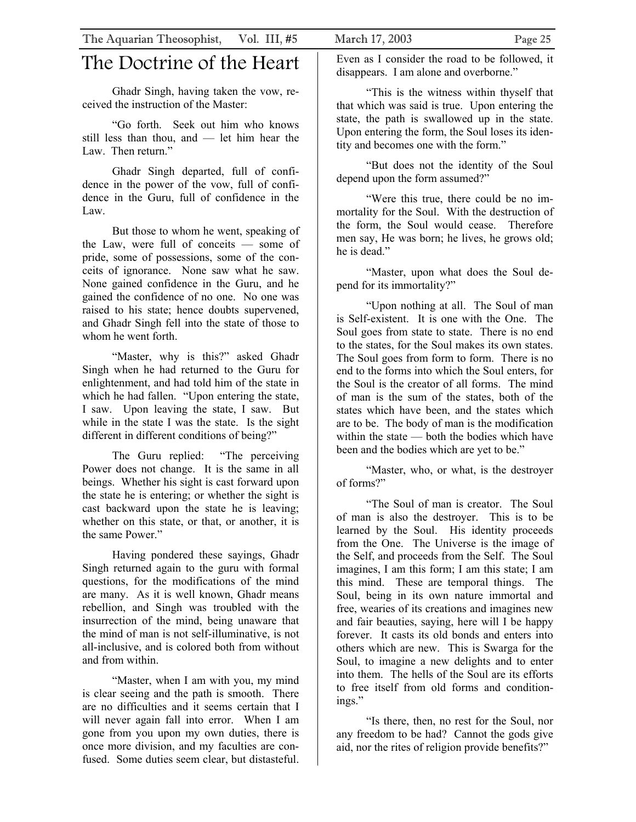# <span id="page-24-0"></span>The Doctrine of the Heart

Ghadr Singh, having taken the vow, received the instruction of the Master:

"Go forth. Seek out him who knows still less than thou, and — let him hear the Law Then return."

Ghadr Singh departed, full of confidence in the power of the vow, full of confidence in the Guru, full of confidence in the Law.

But those to whom he went, speaking of the Law, were full of conceits — some of pride, some of possessions, some of the conceits of ignorance. None saw what he saw. None gained confidence in the Guru, and he gained the confidence of no one. No one was raised to his state; hence doubts supervened, and Ghadr Singh fell into the state of those to whom he went forth.

"Master, why is this?" asked Ghadr Singh when he had returned to the Guru for enlightenment, and had told him of the state in which he had fallen. "Upon entering the state, I saw. Upon leaving the state, I saw. But while in the state I was the state. Is the sight different in different conditions of being?"

The Guru replied: "The perceiving Power does not change. It is the same in all beings. Whether his sight is cast forward upon the state he is entering; or whether the sight is cast backward upon the state he is leaving; whether on this state, or that, or another, it is the same Power."

Having pondered these sayings, Ghadr Singh returned again to the guru with formal questions, for the modifications of the mind are many. As it is well known, Ghadr means rebellion, and Singh was troubled with the insurrection of the mind, being unaware that the mind of man is not self-illuminative, is not all-inclusive, and is colored both from without and from within.

"Master, when I am with you, my mind is clear seeing and the path is smooth. There are no difficulties and it seems certain that I will never again fall into error. When I am gone from you upon my own duties, there is once more division, and my faculties are confused. Some duties seem clear, but distasteful.

Even as I consider the road to be followed, it disappears. I am alone and overborne."

"This is the witness within thyself that that which was said is true. Upon entering the state, the path is swallowed up in the state. Upon entering the form, the Soul loses its identity and becomes one with the form."

"But does not the identity of the Soul depend upon the form assumed?"

"Were this true, there could be no immortality for the Soul. With the destruction of the form, the Soul would cease. Therefore men say, He was born; he lives, he grows old; he is dead."

"Master, upon what does the Soul depend for its immortality?"

"Upon nothing at all. The Soul of man is Self-existent. It is one with the One. The Soul goes from state to state. There is no end to the states, for the Soul makes its own states. The Soul goes from form to form. There is no end to the forms into which the Soul enters, for the Soul is the creator of all forms. The mind of man is the sum of the states, both of the states which have been, and the states which are to be. The body of man is the modification within the state — both the bodies which have been and the bodies which are yet to be."

"Master, who, or what, is the destroyer of forms?"

"The Soul of man is creator. The Soul of man is also the destroyer. This is to be learned by the Soul. His identity proceeds from the One. The Universe is the image of the Self, and proceeds from the Self. The Soul imagines, I am this form; I am this state; I am this mind. These are temporal things. The Soul, being in its own nature immortal and free, wearies of its creations and imagines new and fair beauties, saying, here will I be happy forever. It casts its old bonds and enters into others which are new. This is Swarga for the Soul, to imagine a new delights and to enter into them. The hells of the Soul are its efforts to free itself from old forms and conditionings."

"Is there, then, no rest for the Soul, nor any freedom to be had? Cannot the gods give aid, nor the rites of religion provide benefits?"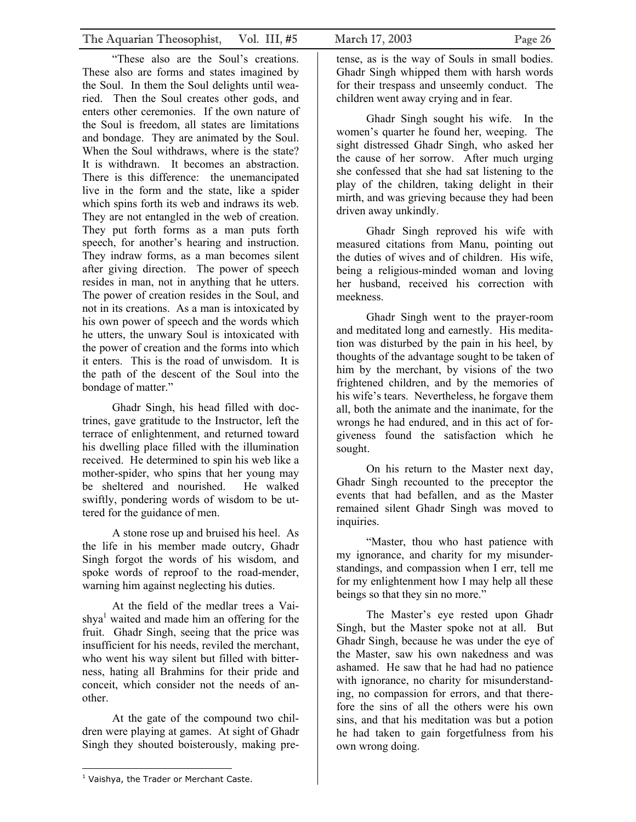"These also are the Soul's creations. These also are forms and states imagined by the Soul. In them the Soul delights until wearied. Then the Soul creates other gods, and enters other ceremonies. If the own nature of the Soul is freedom, all states are limitations and bondage. They are animated by the Soul. When the Soul withdraws, where is the state? It is withdrawn. It becomes an abstraction. There is this difference: the unemancipated live in the form and the state, like a spider which spins forth its web and indraws its web. They are not entangled in the web of creation. They put forth forms as a man puts forth speech, for another's hearing and instruction. They indraw forms, as a man becomes silent after giving direction. The power of speech resides in man, not in anything that he utters. The power of creation resides in the Soul, and not in its creations. As a man is intoxicated by his own power of speech and the words which he utters, the unwary Soul is intoxicated with the power of creation and the forms into which it enters. This is the road of unwisdom. It is the path of the descent of the Soul into the bondage of matter."

Ghadr Singh, his head filled with doctrines, gave gratitude to the Instructor, left the terrace of enlightenment, and returned toward his dwelling place filled with the illumination received. He determined to spin his web like a mother-spider, who spins that her young may be sheltered and nourished. He walked swiftly, pondering words of wisdom to be uttered for the guidance of men.

A stone rose up and bruised his heel. As the life in his member made outcry, Ghadr Singh forgot the words of his wisdom, and spoke words of reproof to the road-mender, warning him against neglecting his duties.

At the field of the medlar trees a Vai-shya<sup>[1](#page-25-0)</sup> waited and made him an offering for the fruit. Ghadr Singh, seeing that the price was insufficient for his needs, reviled the merchant, who went his way silent but filled with bitterness, hating all Brahmins for their pride and conceit, which consider not the needs of another.

At the gate of the compound two children were playing at games. At sight of Ghadr Singh they shouted boisterously, making pretense, as is the way of Souls in small bodies. Ghadr Singh whipped them with harsh words for their trespass and unseemly conduct. The children went away crying and in fear.

Ghadr Singh sought his wife. In the women's quarter he found her, weeping. The sight distressed Ghadr Singh, who asked her the cause of her sorrow. After much urging she confessed that she had sat listening to the play of the children, taking delight in their mirth, and was grieving because they had been driven away unkindly.

Ghadr Singh reproved his wife with measured citations from Manu, pointing out the duties of wives and of children. His wife, being a religious-minded woman and loving her husband, received his correction with meekness.

Ghadr Singh went to the prayer-room and meditated long and earnestly. His meditation was disturbed by the pain in his heel, by thoughts of the advantage sought to be taken of him by the merchant, by visions of the two frightened children, and by the memories of his wife's tears. Nevertheless, he forgave them all, both the animate and the inanimate, for the wrongs he had endured, and in this act of forgiveness found the satisfaction which he sought.

On his return to the Master next day, Ghadr Singh recounted to the preceptor the events that had befallen, and as the Master remained silent Ghadr Singh was moved to inquiries.

"Master, thou who hast patience with my ignorance, and charity for my misunderstandings, and compassion when I err, tell me for my enlightenment how I may help all these beings so that they sin no more."

The Master's eye rested upon Ghadr Singh, but the Master spoke not at all. But Ghadr Singh, because he was under the eye of the Master, saw his own nakedness and was ashamed. He saw that he had had no patience with ignorance, no charity for misunderstanding, no compassion for errors, and that therefore the sins of all the others were his own sins, and that his meditation was but a potion he had taken to gain forgetfulness from his own wrong doing.

<span id="page-25-0"></span>l  $<sup>1</sup>$  Vaishya, the Trader or Merchant Caste.</sup>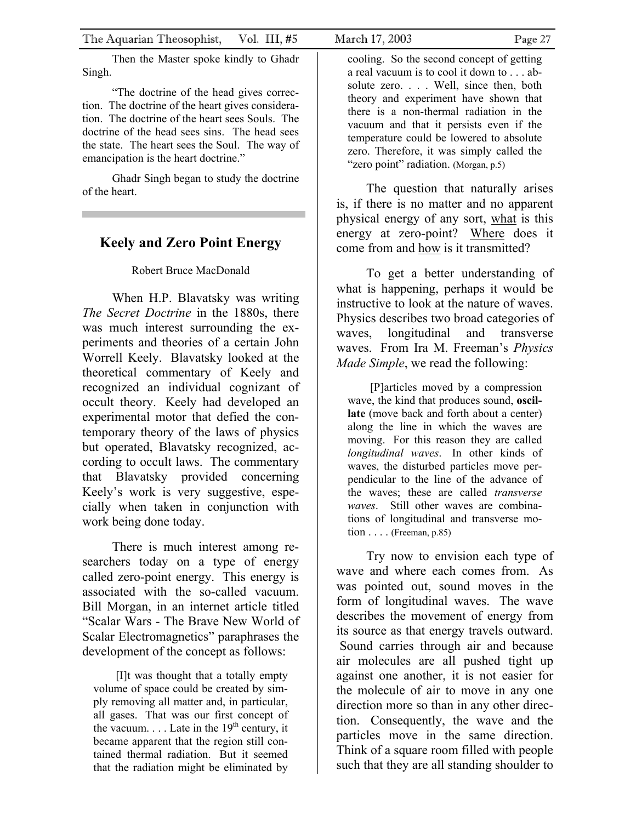<span id="page-26-0"></span>Then the Master spoke kindly to Ghadr Singh.

"The doctrine of the head gives correction. The doctrine of the heart gives consideration. The doctrine of the heart sees Souls. The doctrine of the head sees sins. The head sees the state. The heart sees the Soul. The way of emancipation is the heart doctrine."

Ghadr Singh began to study the doctrine of the heart.

#### **Keely and Zero Point Energy**

Robert Bruce MacDonald

When H.P. Blavatsky was writing *The Secret Doctrine* in the 1880s, there was much interest surrounding the experiments and theories of a certain John Worrell Keely. Blavatsky looked at the theoretical commentary of Keely and recognized an individual cognizant of occult theory. Keely had developed an experimental motor that defied the contemporary theory of the laws of physics but operated, Blavatsky recognized, according to occult laws. The commentary that Blavatsky provided concerning Keely's work is very suggestive, especially when taken in conjunction with work being done today.

There is much interest among researchers today on a type of energy called zero-point energy. This energy is associated with the so-called vacuum. Bill Morgan, in an internet article titled "Scalar Wars - The Brave New World of Scalar Electromagnetics" paraphrases the development of the concept as follows:

[I]t was thought that a totally empty volume of space could be created by simply removing all matter and, in particular, all gases. That was our first concept of the vacuum.  $\ldots$  Late in the 19<sup>th</sup> century, it became apparent that the region still contained thermal radiation. But it seemed that the radiation might be eliminated by

cooling. So the second concept of getting a real vacuum is to cool it down to . . . absolute zero. . . . Well, since then, both theory and experiment have shown that there is a non-thermal radiation in the vacuum and that it persists even if the temperature could be lowered to absolute zero. Therefore, it was simply called the "zero point" radiation. (Morgan, p.5)

The question that naturally arises is, if there is no matter and no apparent physical energy of any sort, what is this energy at zero-point? Where does it come from and how is it transmitted?

To get a better understanding of what is happening, perhaps it would be instructive to look at the nature of waves. Physics describes two broad categories of waves, longitudinal and transverse waves. From Ira M. Freeman's *Physics Made Simple*, we read the following:

[P]articles moved by a compression wave, the kind that produces sound, **oscillate** (move back and forth about a center) along the line in which the waves are moving. For this reason they are called *longitudinal waves*. In other kinds of waves, the disturbed particles move perpendicular to the line of the advance of the waves; these are called *transverse waves*. Still other waves are combinations of longitudinal and transverse motion  $\ldots$  (Freeman, p.85)

Try now to envision each type of wave and where each comes from. As was pointed out, sound moves in the form of longitudinal waves. The wave describes the movement of energy from its source as that energy travels outward. Sound carries through air and because air molecules are all pushed tight up against one another, it is not easier for the molecule of air to move in any one direction more so than in any other direction. Consequently, the wave and the particles move in the same direction. Think of a square room filled with people such that they are all standing shoulder to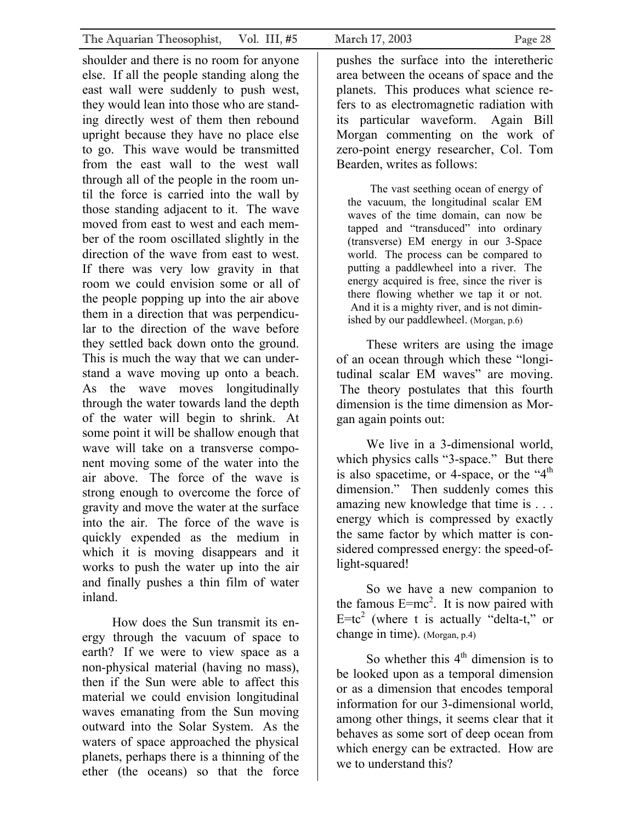shoulder and there is no room for anyone else. If all the people standing along the east wall were suddenly to push west, they would lean into those who are standing directly west of them then rebound upright because they have no place else to go. This wave would be transmitted from the east wall to the west wall through all of the people in the room until the force is carried into the wall by those standing adjacent to it. The wave moved from east to west and each member of the room oscillated slightly in the direction of the wave from east to west. If there was very low gravity in that room we could envision some or all of the people popping up into the air above them in a direction that was perpendicular to the direction of the wave before they settled back down onto the ground. This is much the way that we can understand a wave moving up onto a beach. As the wave moves longitudinally through the water towards land the depth of the water will begin to shrink. At some point it will be shallow enough that wave will take on a transverse component moving some of the water into the air above. The force of the wave is strong enough to overcome the force of gravity and move the water at the surface into the air. The force of the wave is quickly expended as the medium in which it is moving disappears and it works to push the water up into the air and finally pushes a thin film of water inland.

How does the Sun transmit its energy through the vacuum of space to earth? If we were to view space as a non-physical material (having no mass), then if the Sun were able to affect this material we could envision longitudinal waves emanating from the Sun moving outward into the Solar System. As the waters of space approached the physical planets, perhaps there is a thinning of the ether (the oceans) so that the force

pushes the surface into the interetheric area between the oceans of space and the planets. This produces what science refers to as electromagnetic radiation with its particular waveform. Again Bill Morgan commenting on the work of zero-point energy researcher, Col. Tom Bearden, writes as follows:

The vast seething ocean of energy of the vacuum, the longitudinal scalar EM waves of the time domain, can now be tapped and "transduced" into ordinary (transverse) EM energy in our 3-Space world. The process can be compared to putting a paddlewheel into a river. The energy acquired is free, since the river is there flowing whether we tap it or not. And it is a mighty river, and is not diminished by our paddlewheel. (Morgan, p.6)

These writers are using the image of an ocean through which these "longitudinal scalar EM waves" are moving. The theory postulates that this fourth dimension is the time dimension as Morgan again points out:

We live in a 3-dimensional world, which physics calls "3-space." But there is also spacetime, or 4-space, or the  $4<sup>th</sup>$ dimension." Then suddenly comes this amazing new knowledge that time is . . . energy which is compressed by exactly the same factor by which matter is considered compressed energy: the speed-oflight-squared!

So we have a new companion to the famous  $E=mc^2$ . It is now paired with E=tc<sup>2</sup> (where t is actually "delta-t," or change in time). (Morgan, p.4)

So whether this  $4<sup>th</sup>$  dimension is to be looked upon as a temporal dimension or as a dimension that encodes temporal information for our 3-dimensional world, among other things, it seems clear that it behaves as some sort of deep ocean from which energy can be extracted. How are we to understand this?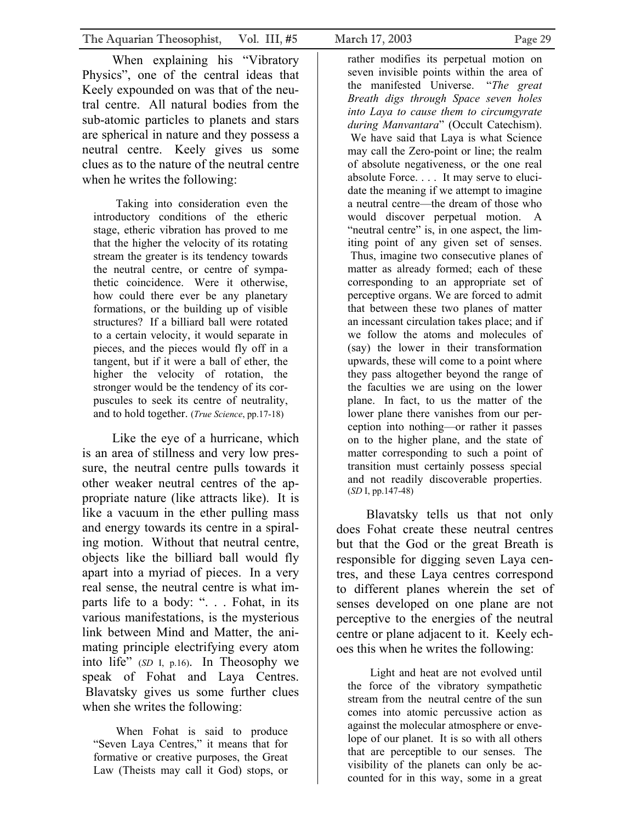When explaining his "Vibratory Physics", one of the central ideas that Keely expounded on was that of the neutral centre. All natural bodies from the sub-atomic particles to planets and stars are spherical in nature and they possess a neutral centre. Keely gives us some clues as to the nature of the neutral centre when he writes the following:

Taking into consideration even the introductory conditions of the etheric stage, etheric vibration has proved to me that the higher the velocity of its rotating stream the greater is its tendency towards the neutral centre, or centre of sympathetic coincidence. Were it otherwise, how could there ever be any planetary formations, or the building up of visible structures? If a billiard ball were rotated to a certain velocity, it would separate in pieces, and the pieces would fly off in a tangent, but if it were a ball of ether, the higher the velocity of rotation, the stronger would be the tendency of its corpuscules to seek its centre of neutrality, and to hold together. (*True Science*, pp.17-18)

Like the eye of a hurricane, which is an area of stillness and very low pressure, the neutral centre pulls towards it other weaker neutral centres of the appropriate nature (like attracts like). It is like a vacuum in the ether pulling mass and energy towards its centre in a spiraling motion. Without that neutral centre, objects like the billiard ball would fly apart into a myriad of pieces. In a very real sense, the neutral centre is what imparts life to a body: ". . . Fohat, in its various manifestations, is the mysterious link between Mind and Matter, the animating principle electrifying every atom into life" (*SD* I, p.16). In Theosophy we speak of Fohat and Laya Centres. Blavatsky gives us some further clues when she writes the following:

When Fohat is said to produce "Seven Laya Centres," it means that for formative or creative purposes, the Great Law (Theists may call it God) stops, or

rather modifies its perpetual motion on seven invisible points within the area of the manifested Universe. "*The great Breath digs through Space seven holes into Laya to cause them to circumgyrate during Manvantara*" (Occult Catechism). We have said that Laya is what Science may call the Zero-point or line; the realm of absolute negativeness, or the one real absolute Force. . . . It may serve to elucidate the meaning if we attempt to imagine a neutral centre—the dream of those who would discover perpetual motion. A "neutral centre" is, in one aspect, the limiting point of any given set of senses. Thus, imagine two consecutive planes of matter as already formed; each of these corresponding to an appropriate set of perceptive organs. We are forced to admit that between these two planes of matter an incessant circulation takes place; and if we follow the atoms and molecules of (say) the lower in their transformation upwards, these will come to a point where they pass altogether beyond the range of the faculties we are using on the lower plane. In fact, to us the matter of the lower plane there vanishes from our perception into nothing—or rather it passes on to the higher plane, and the state of matter corresponding to such a point of transition must certainly possess special and not readily discoverable properties. (*SD* I, pp.147-48)

Blavatsky tells us that not only does Fohat create these neutral centres but that the God or the great Breath is responsible for digging seven Laya centres, and these Laya centres correspond to different planes wherein the set of senses developed on one plane are not perceptive to the energies of the neutral centre or plane adjacent to it. Keely echoes this when he writes the following:

Light and heat are not evolved until the force of the vibratory sympathetic stream from the neutral centre of the sun comes into atomic percussive action as against the molecular atmosphere or envelope of our planet. It is so with all others that are perceptible to our senses. The visibility of the planets can only be accounted for in this way, some in a great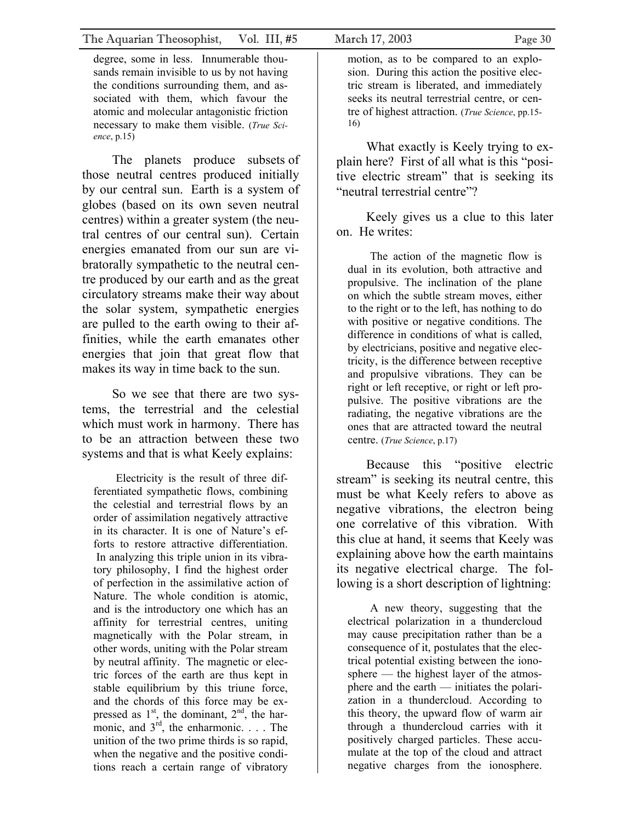degree, some in less. Innumerable thousands remain invisible to us by not having the conditions surrounding them, and associated with them, which favour the atomic and molecular antagonistic friction necessary to make them visible. (*True Science*, p.15)

The planets produce subsets of those neutral centres produced initially by our central sun. Earth is a system of globes (based on its own seven neutral centres) within a greater system (the neutral centres of our central sun). Certain energies emanated from our sun are vibratorally sympathetic to the neutral centre produced by our earth and as the great circulatory streams make their way about the solar system, sympathetic energies are pulled to the earth owing to their affinities, while the earth emanates other energies that join that great flow that makes its way in time back to the sun.

So we see that there are two systems, the terrestrial and the celestial which must work in harmony. There has to be an attraction between these two systems and that is what Keely explains:

Electricity is the result of three differentiated sympathetic flows, combining the celestial and terrestrial flows by an order of assimilation negatively attractive in its character. It is one of Nature's efforts to restore attractive differentiation. In analyzing this triple union in its vibratory philosophy, I find the highest order of perfection in the assimilative action of Nature. The whole condition is atomic, and is the introductory one which has an affinity for terrestrial centres, uniting magnetically with the Polar stream, in other words, uniting with the Polar stream by neutral affinity. The magnetic or electric forces of the earth are thus kept in stable equilibrium by this triune force, and the chords of this force may be expressed as  $1<sup>st</sup>$ , the dominant,  $2<sup>nd</sup>$ , the harmonic, and  $3<sup>rd</sup>$ , the enharmonic. . . . The unition of the two prime thirds is so rapid, when the negative and the positive conditions reach a certain range of vibratory

motion, as to be compared to an explosion. During this action the positive electric stream is liberated, and immediately seeks its neutral terrestrial centre, or centre of highest attraction. (*True Science*, pp.15- 16)

What exactly is Keely trying to explain here? First of all what is this "positive electric stream" that is seeking its "neutral terrestrial centre"?

Keely gives us a clue to this later on. He writes:

The action of the magnetic flow is dual in its evolution, both attractive and propulsive. The inclination of the plane on which the subtle stream moves, either to the right or to the left, has nothing to do with positive or negative conditions. The difference in conditions of what is called, by electricians, positive and negative electricity, is the difference between receptive and propulsive vibrations. They can be right or left receptive, or right or left propulsive. The positive vibrations are the radiating, the negative vibrations are the ones that are attracted toward the neutral centre. (*True Science*, p.17)

Because this "positive electric stream" is seeking its neutral centre, this must be what Keely refers to above as negative vibrations, the electron being one correlative of this vibration. With this clue at hand, it seems that Keely was explaining above how the earth maintains its negative electrical charge. The following is a short description of lightning:

A new theory, suggesting that the electrical polarization in a thundercloud may cause precipitation rather than be a consequence of it, postulates that the electrical potential existing between the ionosphere — the highest layer of the atmosphere and the earth — initiates the polarization in a thundercloud. According to this theory, the upward flow of warm air through a thundercloud carries with it positively charged particles. These accumulate at the top of the cloud and attract negative charges from the ionosphere.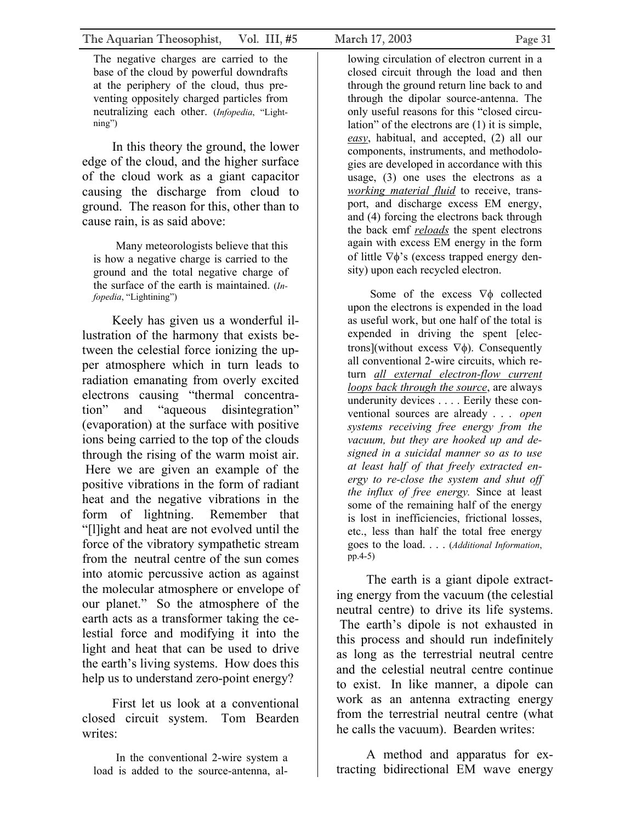The negative charges are carried to the base of the cloud by powerful downdrafts at the periphery of the cloud, thus preventing oppositely charged particles from neutralizing each other. (*Infopedia*, "Lightning")

In this theory the ground, the lower edge of the cloud, and the higher surface of the cloud work as a giant capacitor causing the discharge from cloud to ground. The reason for this, other than to cause rain, is as said above:

Many meteorologists believe that this is how a negative charge is carried to the ground and the total negative charge of the surface of the earth is maintained. (*Infopedia*, "Lightining")

Keely has given us a wonderful illustration of the harmony that exists between the celestial force ionizing the upper atmosphere which in turn leads to radiation emanating from overly excited electrons causing "thermal concentration" and "aqueous disintegration" (evaporation) at the surface with positive ions being carried to the top of the clouds through the rising of the warm moist air. Here we are given an example of the positive vibrations in the form of radiant heat and the negative vibrations in the form of lightning. Remember that "[l]ight and heat are not evolved until the force of the vibratory sympathetic stream from the neutral centre of the sun comes into atomic percussive action as against the molecular atmosphere or envelope of our planet." So the atmosphere of the earth acts as a transformer taking the celestial force and modifying it into the light and heat that can be used to drive the earth's living systems. How does this help us to understand zero-point energy?

First let us look at a conventional closed circuit system. Tom Bearden writes:

In the conventional 2-wire system a load is added to the source-antenna, allowing circulation of electron current in a closed circuit through the load and then through the ground return line back to and through the dipolar source-antenna. The only useful reasons for this "closed circulation" of the electrons are (1) it is simple, *easy*, habitual, and accepted, (2) all our components, instruments, and methodologies are developed in accordance with this usage, (3) one uses the electrons as a *working material fluid* to receive, transport, and discharge excess EM energy,

and (4) forcing the electrons back through the back emf *reloads* the spent electrons again with excess EM energy in the form of little ∇φ's (excess trapped energy density) upon each recycled electron.

Some of the excess ∇φ collected upon the electrons is expended in the load as useful work, but one half of the total is expended in driving the spent [electrons](without excess  $\nabla \phi$ ). Consequently all conventional 2-wire circuits, which return *all external electron-flow current loops back through the source*, are always underunity devices . . . . Eerily these conventional sources are already . . . *open systems receiving free energy from the vacuum, but they are hooked up and designed in a suicidal manner so as to use at least half of that freely extracted energy to re-close the system and shut off the influx of free energy.* Since at least some of the remaining half of the energy is lost in inefficiencies, frictional losses, etc., less than half the total free energy goes to the load. . . . (*Additional Information*, pp.4-5)

The earth is a giant dipole extracting energy from the vacuum (the celestial neutral centre) to drive its life systems. The earth's dipole is not exhausted in this process and should run indefinitely as long as the terrestrial neutral centre and the celestial neutral centre continue to exist. In like manner, a dipole can work as an antenna extracting energy from the terrestrial neutral centre (what he calls the vacuum). Bearden writes:

A method and apparatus for extracting bidirectional EM wave energy